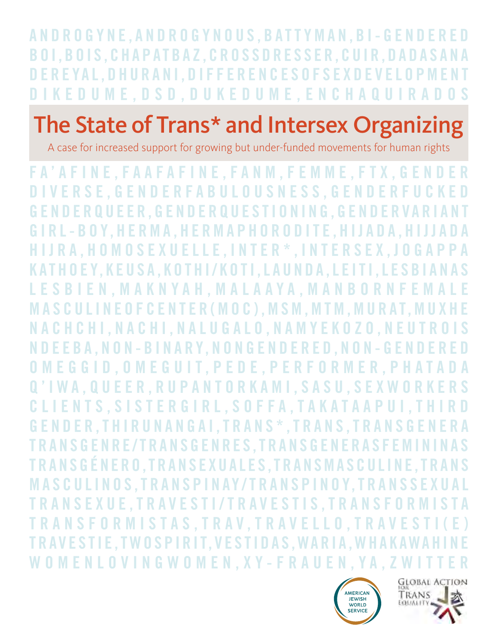A N D R O G Y N E , A N D R O G Y N O U S , B A T T Y M A N , B I - G E N D E R E D B O I , B O I S , C H A P AT B A Z , C R O S S D R E S S E R , C U I R , D A D A S A N A D E R E YA L , D H U R A N I , D I F F E R E N C E S O F S E X D E V E L O P M E N T DIKEDUME.DSD, DUKEDUME, ENCHAQU

# The State of Trans\* and Intersex Organizing

A case for increased support for growing but under-funded movements for human rights

F A ' A F I N E , F A A F A F I N E , F A N M , F E M M E , F T X , G E N D E R D I V E R S E , G E N D E R F A B U L O U S N E S S , G E N D E R F U C K E D G E N D E R Q U E E R , G E N D E R Q U E S T I O N I N G , G E N D E R V A R I A N T GIRL-BOY,HERMA,HERMAPHORODITE,HIJADA,HIJJADA H I J R A , H O M O S E X U E L L E , I N T E R \* , I N T E R S E X , J O G A P P A KATHOEY, KEUSA, KOTHI/KOTI, LAUNDA, LEITI, LESBIANAS L E S B I E N , M A K N Y A H , M A L A A Y A , M A N B O R N F E M A L E MASCULINE OF CENTER (MOC), MSM, MTM, MURAT, MUXHE N A C H C H I , N A C H I , N A L U G A L O , N A M Y E K O Z O , N E U T R O I S N D E E B A , N O N - B I N A R Y, N O N G E N D E R E D , N O N - G E N D E R E D O M E G G I D , O M E G U I T , P E D E , P E R F O R M E R , P H A T A D A Q ' I W A , Q U E E R , R U P A N T O R K A M I , S A S U , S E X W O R K E R S C L I E N T S , S I S T E R G I R L , S O F F A , T A K A T A A P U I , T H I R D G E N D E R , T H I R U N A N G A I , T R A N S \* , T R A N S , T R A N S G E N E R A TRANSGENRE/TRANSGENRES. TRANSGENERASFEMININAS T R A N S G É N E R O , T R A N S E X U A L E S , T R A N S M A S C U L I N E , T R A N S MASCULINOS, TRANSPINAY/TRANSPINOY. TRANSSEXUAL TRANSEXUE,TRAVESTI/TRAVESTIS,TRANSFORMISTA TRANSFORMISTAS, TRAV, TRAVELLO, TRAVEST TRAVESTIE, TWOSPIRIT, VESTIDAS, WARIA, WHAKAWAH WOMENLOVINGWOMEN, XY-FRAUEN, YA, ZWITT



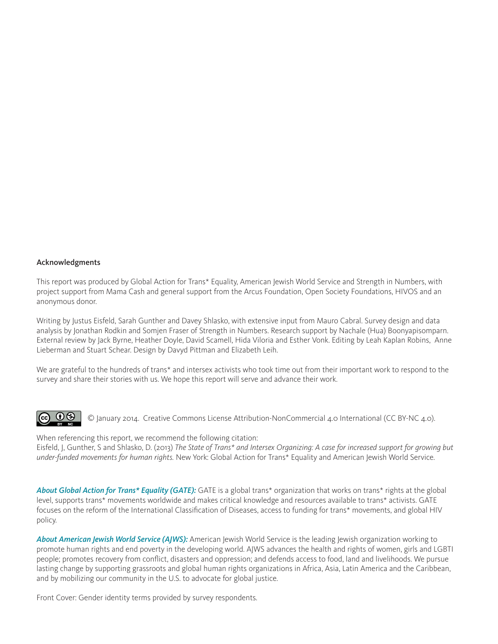#### Acknowledgments

This report was produced by Global Action for Trans\* Equality, American Jewish World Service and Strength in Numbers, with project support from Mama Cash and general support from the Arcus Foundation, Open Society Foundations, HIVOS and an anonymous donor.

Writing by Justus Eisfeld, Sarah Gunther and Davey Shlasko, with extensive input from Mauro Cabral. Survey design and data analysis by Jonathan Rodkin and Somjen Fraser of Strength in Numbers. Research support by Nachale (Hua) Boonyapisomparn. External review by Jack Byrne, Heather Doyle, David Scamell, Hida Viloria and Esther Vonk. Editing by Leah Kaplan Robins, Anne Lieberman and Stuart Schear. Design by Davyd Pittman and Elizabeth Leih.

We are grateful to the hundreds of trans\* and intersex activists who took time out from their important work to respond to the survey and share their stories with us. We hope this report will serve and advance their work.



When referencing this report, we recommend the following citation: Eisfeld, J, Gunther, S and Shlasko, D. (2013) *The State of Trans\* and Intersex Organizing: A case for increased support for growing but under-funded movements for human rights.* New York: Global Action for Trans\* Equality and American Jewish World Service.

*About Global Action for Trans\* Equality (GATE):* GATE is a global trans\* organization that works on trans\* rights at the global level, supports trans\* movements worldwide and makes critical knowledge and resources available to trans\* activists. GATE focuses on the reform of the International Classification of Diseases, access to funding for trans\* movements, and global HIV policy.

*About American Jewish World Service (AJWS):* American Jewish World Service is the leading Jewish organization working to promote human rights and end poverty in the developing world. AJWS advances the health and rights of women, girls and LGBTI people; promotes recovery from conflict, disasters and oppression; and defends access to food, land and livelihoods. We pursue lasting change by supporting grassroots and global human rights organizations in Africa, Asia, Latin America and the Caribbean, and by mobilizing our community in the U.S. to advocate for global justice.

Front Cover: Gender identity terms provided by survey respondents.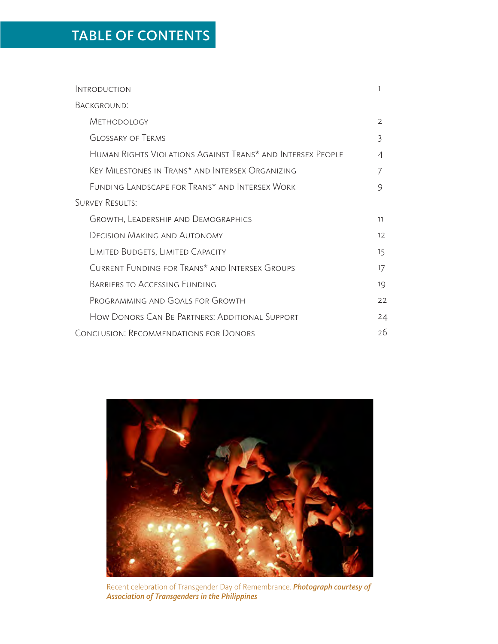## TABLE OF CONTENTS

| <b>INTRODUCTION</b>                                        | 1  |
|------------------------------------------------------------|----|
| BACKGROUND:                                                |    |
| <b>METHODOLOGY</b>                                         | 2  |
| <b>GLOSSARY OF TERMS</b>                                   | 3  |
| Human Rights Violations Against Trans* and Intersex People | 4  |
| KEY MILESTONES IN TRANS* AND INTERSEX ORGANIZING           |    |
| FUNDING LANDSCAPE FOR TRANS* AND INTERSEX WORK             | 9  |
| <b>SURVEY RESULTS:</b>                                     |    |
| GROWTH, LEADERSHIP AND DEMOGRAPHICS                        | 11 |
| <b>DECISION MAKING AND AUTONOMY</b>                        | 12 |
| LIMITED BUDGETS, LIMITED CAPACITY                          | 15 |
| CURRENT FUNDING FOR TRANS* AND INTERSEX GROUPS             | 17 |
| BARRIERS TO ACCESSING FUNDING                              | 19 |
| PROGRAMMING AND GOALS FOR GROWTH                           | 22 |
| How Donors Can Be Partners: Additional Support             | 24 |
| <b>CONCLUSION: RECOMMENDATIONS FOR DONORS</b>              | 26 |



Recent celebration of Transgender Day of Remembrance. *Photograph courtesy of Association of Transgenders in the Philippines*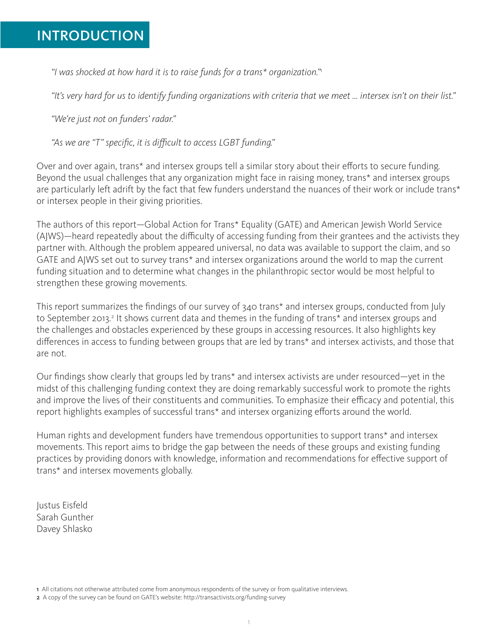## INTRODUCTION

*"I was shocked at how hard it is to raise funds for a trans\* organization."*<sup>1</sup>

*"It's very hard for us to identify funding organizations with criteria that we meet … intersex isn't on their list."*

*"We're just not on funders' radar."*

*"As we are "T" specific, it is difficult to access LGBT funding."*

Over and over again, trans\* and intersex groups tell a similar story about their efforts to secure funding. Beyond the usual challenges that any organization might face in raising money, trans\* and intersex groups are particularly left adrift by the fact that few funders understand the nuances of their work or include trans\* or intersex people in their giving priorities.

The authors of this report—Global Action for Trans\* Equality (GATE) and American Jewish World Service (AJWS)—heard repeatedly about the difficulty of accessing funding from their grantees and the activists they partner with. Although the problem appeared universal, no data was available to support the claim, and so GATE and AJWS set out to survey trans\* and intersex organizations around the world to map the current funding situation and to determine what changes in the philanthropic sector would be most helpful to strengthen these growing movements.

This report summarizes the findings of our survey of 340 trans\* and intersex groups, conducted from July to September 2013.<sup>2</sup> It shows current data and themes in the funding of trans\* and intersex groups and the challenges and obstacles experienced by these groups in accessing resources. It also highlights key differences in access to funding between groups that are led by trans\* and intersex activists, and those that are not.

Our findings show clearly that groups led by trans\* and intersex activists are under resourced—yet in the midst of this challenging funding context they are doing remarkably successful work to promote the rights and improve the lives of their constituents and communities. To emphasize their efficacy and potential, this report highlights examples of successful trans\* and intersex organizing efforts around the world.

Human rights and development funders have tremendous opportunities to support trans\* and intersex movements. This report aims to bridge the gap between the needs of these groups and existing funding practices by providing donors with knowledge, information and recommendations for effective support of trans\* and intersex movements globally.

Justus Eisfeld Sarah Gunther Davey Shlasko

<sup>1</sup> All citations not otherwise attributed come from anonymous respondents of the survey or from qualitative interviews.

<sup>2</sup> A copy of the survey can be found on GATE's website: http://transactivists.org/funding-survey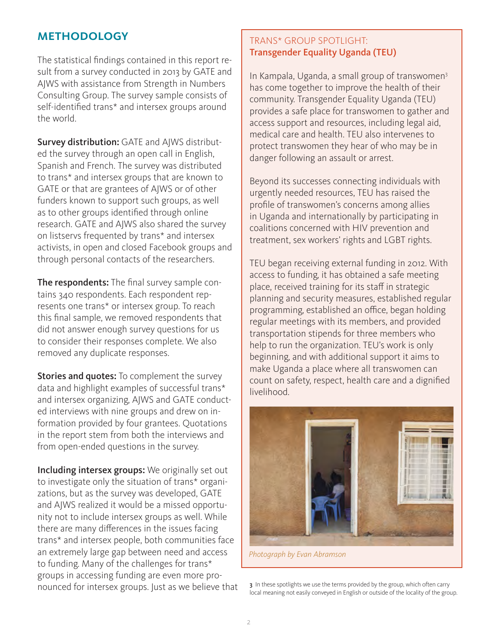## **METHODOLOGY**

The statistical findings contained in this report result from a survey conducted in 2013 by GATE and AJWS with assistance from Strength in Numbers Consulting Group. The survey sample consists of self-identified trans\* and intersex groups around the world.

Survey distribution: GATE and AJWS distributed the survey through an open call in English, Spanish and French. The survey was distributed to trans\* and intersex groups that are known to GATE or that are grantees of AJWS or of other funders known to support such groups, as well as to other groups identified through online research. GATE and AJWS also shared the survey on listservs frequented by trans\* and intersex activists, in open and closed Facebook groups and through personal contacts of the researchers.

The respondents: The final survey sample contains 340 respondents. Each respondent represents one trans\* or intersex group. To reach this final sample, we removed respondents that did not answer enough survey questions for us to consider their responses complete. We also removed any duplicate responses.

Stories and quotes: To complement the survey data and highlight examples of successful trans\* and intersex organizing, AJWS and GATE conducted interviews with nine groups and drew on information provided by four grantees. Quotations in the report stem from both the interviews and from open-ended questions in the survey.

Including intersex groups: We originally set out to investigate only the situation of trans\* organizations, but as the survey was developed, GATE and AJWS realized it would be a missed opportunity not to include intersex groups as well. While there are many differences in the issues facing trans\* and intersex people, both communities face an extremely large gap between need and access to funding. Many of the challenges for trans\* groups in accessing funding are even more pronounced for intersex groups. Just as we believe that

## TRANS\* GROUP SPOTLIGHT: Transgender Equality Uganda (TEU)

In Kampala, Uganda, a small group of transwomen3 has come together to improve the health of their community. Transgender Equality Uganda (TEU) provides a safe place for transwomen to gather and access support and resources, including legal aid, medical care and health. TEU also intervenes to protect transwomen they hear of who may be in danger following an assault or arrest.

Beyond its successes connecting individuals with urgently needed resources, TEU has raised the profile of transwomen's concerns among allies in Uganda and internationally by participating in coalitions concerned with HIV prevention and treatment, sex workers' rights and LGBT rights.

TEU began receiving external funding in 2012. With access to funding, it has obtained a safe meeting place, received training for its staff in strategic planning and security measures, established regular programming, established an office, began holding regular meetings with its members, and provided transportation stipends for three members who help to run the organization. TEU's work is only beginning, and with additional support it aims to make Uganda a place where all transwomen can count on safety, respect, health care and a dignified livelihood.



*Photograph by Evan Abramson*

3 In these spotlights we use the terms provided by the group, which often carry local meaning not easily conveyed in English or outside of the locality of the group.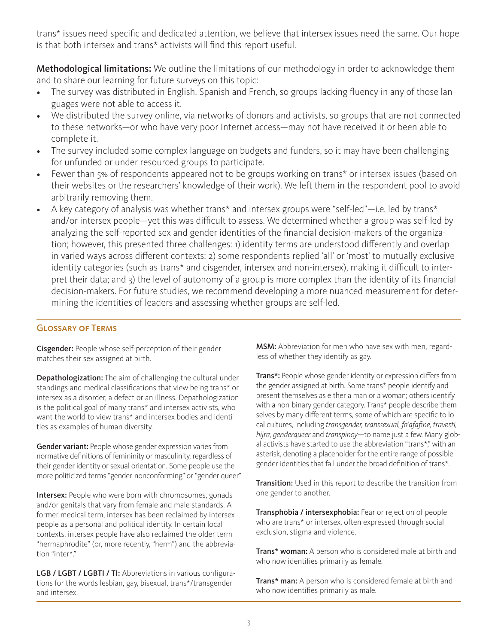trans\* issues need specific and dedicated attention, we believe that intersex issues need the same. Our hope is that both intersex and trans\* activists will find this report useful.

Methodological limitations: We outline the limitations of our methodology in order to acknowledge them and to share our learning for future surveys on this topic:

- The survey was distributed in English, Spanish and French, so groups lacking fluency in any of those languages were not able to access it.
- We distributed the survey online, via networks of donors and activists, so groups that are not connected to these networks—or who have very poor Internet access—may not have received it or been able to complete it.
- The survey included some complex language on budgets and funders, so it may have been challenging for unfunded or under resourced groups to participate.
- Fewer than 5% of respondents appeared not to be groups working on trans\* or intersex issues (based on their websites or the researchers' knowledge of their work). We left them in the respondent pool to avoid arbitrarily removing them.
- A key category of analysis was whether trans\* and intersex groups were "self-led"—i.e. led by trans\* and/or intersex people—yet this was difficult to assess. We determined whether a group was self-led by analyzing the self-reported sex and gender identities of the financial decision-makers of the organization; however, this presented three challenges: 1) identity terms are understood differently and overlap in varied ways across different contexts; 2) some respondents replied 'all' or 'most' to mutually exclusive identity categories (such as trans\* and cisgender, intersex and non-intersex), making it difficult to interpret their data; and 3) the level of autonomy of a group is more complex than the identity of its financial decision-makers. For future studies, we recommend developing a more nuanced measurement for determining the identities of leaders and assessing whether groups are self-led.

#### Glossary of Terms

Cisgender: People whose self-perception of their gender matches their sex assigned at birth.

Depathologization: The aim of challenging the cultural understandings and medical classifications that view being trans\* or intersex as a disorder, a defect or an illness. Depathologization is the political goal of many trans\* and intersex activists, who want the world to view trans\* and intersex bodies and identities as examples of human diversity.

Gender variant: People whose gender expression varies from normative definitions of femininity or masculinity, regardless of their gender identity or sexual orientation. Some people use the more politicized terms "gender-nonconforming" or "gender queer."

Intersex: People who were born with chromosomes, gonads and/or genitals that vary from female and male standards. A former medical term, intersex has been reclaimed by intersex people as a personal and political identity. In certain local contexts, intersex people have also reclaimed the older term "hermaphrodite" (or, more recently, "herm") and the abbreviation "inter\*."

LGB / LGBT / LGBTI / TI: Abbreviations in various configurations for the words lesbian, gay, bisexual, trans\*/transgender and intersex.

MSM: Abbreviation for men who have sex with men, regardless of whether they identify as gay.

Trans\*: People whose gender identity or expression differs from the gender assigned at birth. Some trans\* people identify and present themselves as either a man or a woman; others identify with a non-binary gender category. Trans\* people describe themselves by many different terms, some of which are specific to local cultures, including *transgender, transsexual, fa'afafine, travesti, hijra, genderqueer* and *transpinoy*—to name just a few. Many global activists have started to use the abbreviation "trans\*," with an asterisk, denoting a placeholder for the entire range of possible gender identities that fall under the broad definition of trans\*.

Transition: Used in this report to describe the transition from one gender to another.

Transphobia / intersexphobia: Fear or rejection of people who are trans\* or intersex, often expressed through social exclusion, stigma and violence.

Trans\* woman: A person who is considered male at birth and who now identifies primarily as female.

Trans\* man: A person who is considered female at birth and who now identifies primarily as male.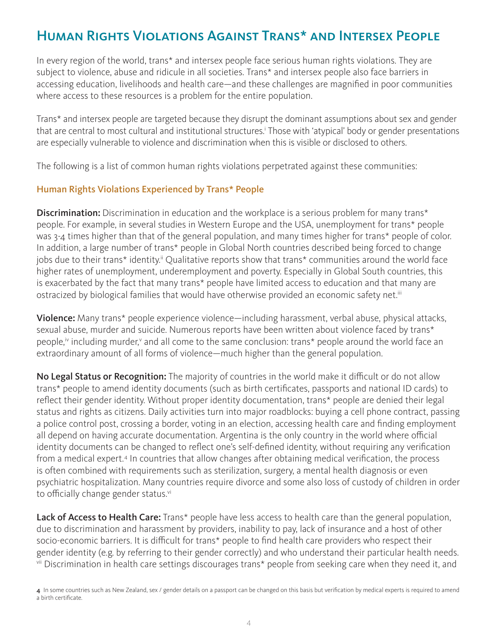## Human Rights Violations Against Trans\* and Intersex People

In every region of the world, trans\* and intersex people face serious human rights violations. They are subject to violence, abuse and ridicule in all societies. Trans\* and intersex people also face barriers in accessing education, livelihoods and health care—and these challenges are magnified in poor communities where access to these resources is a problem for the entire population.

Trans\* and intersex people are targeted because they disrupt the dominant assumptions about sex and gender that are central to most cultural and institutional structures.<sup>†</sup> Those with 'atypical' body or gender presentations are especially vulnerable to violence and discrimination when this is visible or disclosed to others.

The following is a list of common human rights violations perpetrated against these communities:

## Human Rights Violations Experienced by Trans\* People

**Discrimination:** Discrimination in education and the workplace is a serious problem for many trans\* people. For example, in several studies in Western Europe and the USA, unemployment for trans\* people was 3-4 times higher than that of the general population, and many times higher for trans\* people of color. In addition, a large number of trans\* people in Global North countries described being forced to change jobs due to their trans\* identity.<sup>ii</sup> Qualitative reports show that trans\* communities around the world face higher rates of unemployment, underemployment and poverty. Especially in Global South countries, this is exacerbated by the fact that many trans\* people have limited access to education and that many are ostracized by biological families that would have otherwise provided an economic safety net.<sup>iii</sup>

Violence: Many trans\* people experience violence—including harassment, verbal abuse, physical attacks, sexual abuse, murder and suicide. Numerous reports have been written about violence faced by trans\* people,<sup>iv</sup> including murder,<sup>v</sup> and all come to the same conclusion: trans\* people around the world face an extraordinary amount of all forms of violence—much higher than the general population.

No Legal Status or Recognition: The majority of countries in the world make it difficult or do not allow trans\* people to amend identity documents (such as birth certificates, passports and national ID cards) to reflect their gender identity. Without proper identity documentation, trans\* people are denied their legal status and rights as citizens. Daily activities turn into major roadblocks: buying a cell phone contract, passing a police control post, crossing a border, voting in an election, accessing health care and finding employment all depend on having accurate documentation. Argentina is the only country in the world where official identity documents can be changed to reflect one's self-defined identity, without requiring any verification from a medical expert.<sup>4</sup> In countries that allow changes after obtaining medical verification, the process is often combined with requirements such as sterilization, surgery, a mental health diagnosis or even psychiatric hospitalization. Many countries require divorce and some also loss of custody of children in order to officially change gender status.<sup>vi</sup>

Lack of Access to Health Care: Trans\* people have less access to health care than the general population, due to discrimination and harassment by providers, inability to pay, lack of insurance and a host of other socio-economic barriers. It is difficult for trans\* people to find health care providers who respect their gender identity (e.g. by referring to their gender correctly) and who understand their particular health needs. vii Discrimination in health care settings discourages trans\* people from seeking care when they need it, and

<sup>4</sup> In some countries such as New Zealand, sex / gender details on a passport can be changed on this basis but verification by medical experts is required to amend a birth certificate.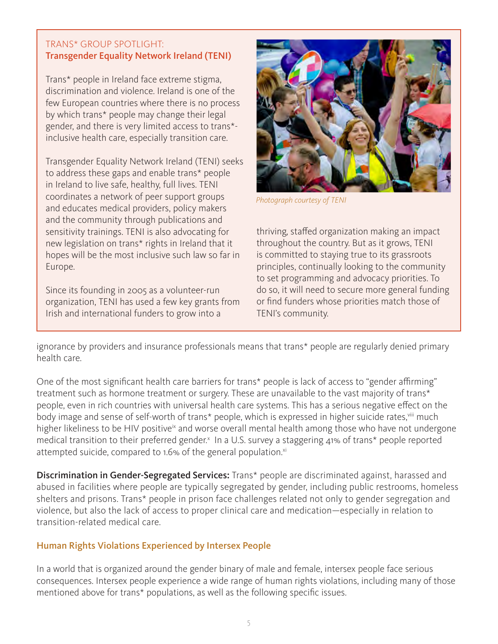### TRANS\* GROUP SPOTLIGHT: Transgender Equality Network Ireland (TENI)

Trans\* people in Ireland face extreme stigma, discrimination and violence. Ireland is one of the few European countries where there is no process by which trans\* people may change their legal gender, and there is very limited access to trans\* inclusive health care, especially transition care.

Transgender Equality Network Ireland (TENI) seeks to address these gaps and enable trans\* people in Ireland to live safe, healthy, full lives. TENI coordinates a network of peer support groups and educates medical providers, policy makers and the community through publications and sensitivity trainings. TENI is also advocating for new legislation on trans\* rights in Ireland that it hopes will be the most inclusive such law so far in Europe.

Since its founding in 2005 as a volunteer-run organization, TENI has used a few key grants from Irish and international funders to grow into a



*Photograph courtesy of TENI*

thriving, staffed organization making an impact throughout the country. But as it grows, TENI is committed to staying true to its grassroots principles, continually looking to the community to set programming and advocacy priorities. To do so, it will need to secure more general funding or find funders whose priorities match those of TENI's community.

ignorance by providers and insurance professionals means that trans\* people are regularly denied primary health care.

One of the most significant health care barriers for trans\* people is lack of access to "gender affirming" treatment such as hormone treatment or surgery. These are unavailable to the vast majority of trans\* people, even in rich countries with universal health care systems. This has a serious negative effect on the body image and sense of self-worth of trans\* people, which is expressed in higher suicide rates, viii much higher likeliness to be HIV positive<sup>ix</sup> and worse overall mental health among those who have not undergone medical transition to their preferred gender.<sup>x</sup> In a U.S. survey a staggering 41% of trans\* people reported attempted suicide, compared to 1.6% of the general population.<sup>xi</sup>

Discrimination in Gender-Segregated Services: Trans\* people are discriminated against, harassed and abused in facilities where people are typically segregated by gender, including public restrooms, homeless shelters and prisons. Trans\* people in prison face challenges related not only to gender segregation and violence, but also the lack of access to proper clinical care and medication—especially in relation to transition-related medical care.

## Human Rights Violations Experienced by Intersex People

In a world that is organized around the gender binary of male and female, intersex people face serious consequences. Intersex people experience a wide range of human rights violations, including many of those mentioned above for trans\* populations, as well as the following specific issues.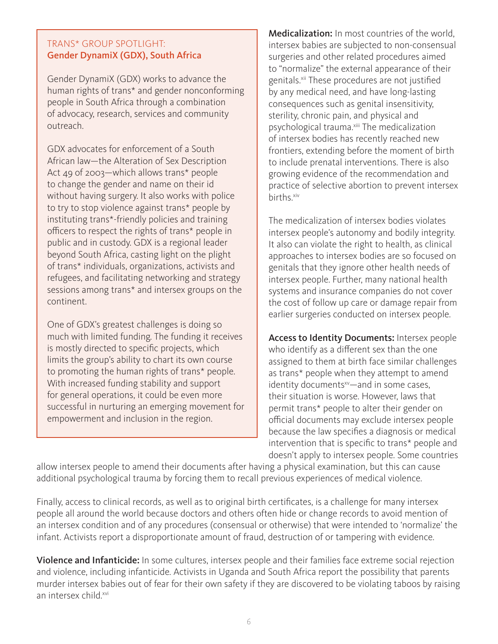### TRANS\* GROUP SPOTLIGHT: Gender DynamiX (GDX), South Africa

Gender DynamiX (GDX) works to advance the human rights of trans\* and gender nonconforming people in South Africa through a combination of advocacy, research, services and community outreach.

GDX advocates for enforcement of a South African law—the Alteration of Sex Description Act 49 of 2003—which allows trans\* people to change the gender and name on their id without having surgery. It also works with police to try to stop violence against trans\* people by instituting trans\*-friendly policies and training officers to respect the rights of trans\* people in public and in custody. GDX is a regional leader beyond South Africa, casting light on the plight of trans\* individuals, organizations, activists and refugees, and facilitating networking and strategy sessions among trans\* and intersex groups on the continent.

One of GDX's greatest challenges is doing so much with limited funding. The funding it receives is mostly directed to specific projects, which limits the group's ability to chart its own course to promoting the human rights of trans\* people. With increased funding stability and support for general operations, it could be even more successful in nurturing an emerging movement for empowerment and inclusion in the region.

Medicalization: In most countries of the world, intersex babies are subjected to non-consensual surgeries and other related procedures aimed to "normalize" the external appearance of their genitals.<sup>xii</sup> These procedures are not justified by any medical need, and have long-lasting consequences such as genital insensitivity, sterility, chronic pain, and physical and psychological trauma.<sup>xiii</sup> The medicalization of intersex bodies has recently reached new frontiers, extending before the moment of birth to include prenatal interventions. There is also growing evidence of the recommendation and practice of selective abortion to prevent intersex births.xiv

The medicalization of intersex bodies violates intersex people's autonomy and bodily integrity. It also can violate the right to health, as clinical approaches to intersex bodies are so focused on genitals that they ignore other health needs of intersex people. Further, many national health systems and insurance companies do not cover the cost of follow up care or damage repair from earlier surgeries conducted on intersex people.

Access to Identity Documents: Intersex people who identify as a different sex than the one assigned to them at birth face similar challenges as trans\* people when they attempt to amend identity documents<sup>xv</sup>—and in some cases, their situation is worse. However, laws that permit trans\* people to alter their gender on official documents may exclude intersex people because the law specifies a diagnosis or medical intervention that is specific to trans\* people and doesn't apply to intersex people. Some countries

allow intersex people to amend their documents after having a physical examination, but this can cause additional psychological trauma by forcing them to recall previous experiences of medical violence.

Finally, access to clinical records, as well as to original birth certificates, is a challenge for many intersex people all around the world because doctors and others often hide or change records to avoid mention of an intersex condition and of any procedures (consensual or otherwise) that were intended to 'normalize' the infant. Activists report a disproportionate amount of fraud, destruction of or tampering with evidence.

Violence and Infanticide: In some cultures, intersex people and their families face extreme social rejection and violence, including infanticide. Activists in Uganda and South Africa report the possibility that parents murder intersex babies out of fear for their own safety if they are discovered to be violating taboos by raising an intersex child.<sup>xvi</sup>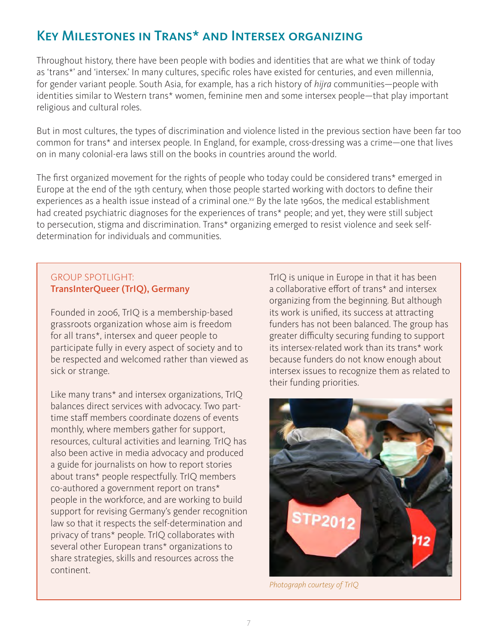## Key Milestones in Trans\* and Intersex organizing

Throughout history, there have been people with bodies and identities that are what we think of today as 'trans\*' and 'intersex.' In many cultures, specific roles have existed for centuries, and even millennia, for gender variant people. South Asia, for example, has a rich history of *hijra* communities—people with identities similar to Western trans\* women, feminine men and some intersex people—that play important religious and cultural roles.

But in most cultures, the types of discrimination and violence listed in the previous section have been far too common for trans\* and intersex people. In England, for example, cross-dressing was a crime—one that lives on in many colonial-era laws still on the books in countries around the world.

The first organized movement for the rights of people who today could be considered trans\* emerged in Europe at the end of the 19th century, when those people started working with doctors to define their experiences as a health issue instead of a criminal one.xv By the late 1960s, the medical establishment had created psychiatric diagnoses for the experiences of trans\* people; and yet, they were still subject to persecution, stigma and discrimination. Trans\* organizing emerged to resist violence and seek selfdetermination for individuals and communities.

## GROUP SPOTLIGHT: TransInterQueer (TrIQ), Germany

Founded in 2006, TrIQ is a membership-based grassroots organization whose aim is freedom for all trans\*, intersex and queer people to participate fully in every aspect of society and to be respected and welcomed rather than viewed as sick or strange.

Like many trans\* and intersex organizations, TrIQ balances direct services with advocacy. Two parttime staff members coordinate dozens of events monthly, where members gather for support, resources, cultural activities and learning. TrIQ has also been active in media advocacy and produced a guide for journalists on how to report stories about trans\* people respectfully. TrIQ members co-authored a government report on trans\* people in the workforce, and are working to build support for revising Germany's gender recognition law so that it respects the self-determination and privacy of trans\* people. TrIQ collaborates with several other European trans\* organizations to share strategies, skills and resources across the continent.

TrIQ is unique in Europe in that it has been a collaborative effort of trans\* and intersex organizing from the beginning. But although its work is unified, its success at attracting funders has not been balanced. The group has greater difficulty securing funding to support its intersex-related work than its trans\* work because funders do not know enough about intersex issues to recognize them as related to their funding priorities.



*Photograph courtesy of TrIQ*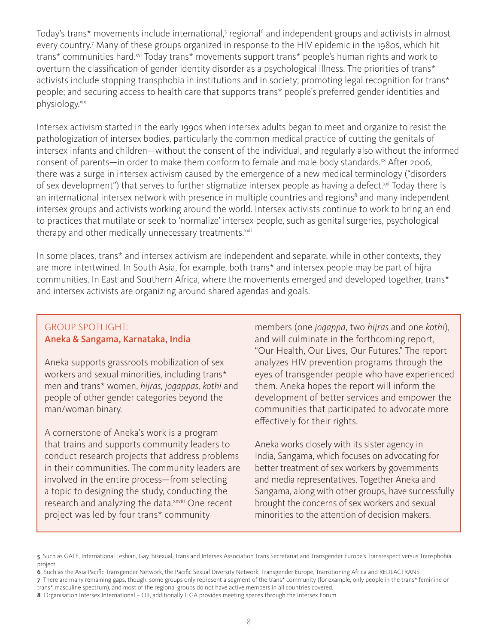Today's trans\* movements include international,<sup>5</sup> regional<sup>6</sup> and independent groups and activists in almost every country.7 Many of these groups organized in response to the HIV epidemic in the 1980s, which hit trans\* communities hard.<sup>xvi</sup> Today trans\* movements support trans\* people's human rights and work to overturn the classification of gender identity disorder as a psychological illness. The priorities of trans\* activists include stopping transphobia in institutions and in society; promoting legal recognition for trans\* people; and securing access to health care that supports trans\* people's preferred gender identities and physiology.xix

Intersex activism started in the early 1990s when intersex adults began to meet and organize to resist the pathologization of intersex bodies, particularly the common medical practice of cutting the genitals of intersex infants and children—without the consent of the individual, and regularly also without the informed consent of parents—in order to make them conform to female and male body standards.<sup>xx</sup> After 2006, there was a surge in intersex activism caused by the emergence of a new medical terminology ("disorders of sex development") that serves to further stigmatize intersex people as having a defect.<sup>xxi</sup> Today there is an international intersex network with presence in multiple countries and regions<sup>8</sup> and many independent intersex groups and activists working around the world. Intersex activists continue to work to bring an end to practices that mutilate or seek to 'normalize' intersex people, such as genital surgeries, psychological therapy and other medically unnecessary treatments.<sup>xxii</sup>

In some places, trans\* and intersex activism are independent and separate, while in other contexts, they are more intertwined. In South Asia, for example, both trans\* and intersex people may be part of hijra communities. In East and Southern Africa, where the movements emerged and developed together, trans\* and intersex activists are organizing around shared agendas and goals.

#### GROUP SPOTLIGHT: Aneka & Sangama, Karnataka, India

Aneka supports grassroots mobilization of sex workers and sexual minorities, including trans\* men and trans\* women, *hijras, jogappas, kothi* and people of other gender categories beyond the man/woman binary.

A cornerstone of Aneka's work is a program that trains and supports community leaders to conduct research projects that address problems in their communities. The community leaders are involved in the entire process—from selecting a topic to designing the study, conducting the research and analyzing the data. XXVIII One recent project was led by four trans\* community

members (one *jogappa*, two *hijras* and one *kothi*), and will culminate in the forthcoming report, "Our Health, Our Lives, Our Futures." The report analyzes HIV prevention programs through the eyes of transgender people who have experienced them. Aneka hopes the report will inform the development of better services and empower the communities that participated to advocate more effectively for their rights.

Aneka works closely with its sister agency in India, Sangama, which focuses on advocating for better treatment of sex workers by governments and media representatives. Together Aneka and Sangama, along with other groups, have successfully brought the concerns of sex workers and sexual minorities to the attention of decision makers.

<sup>5</sup> Such as GATE, International Lesbian, Gay, Bisexual, Trans and Intersex Association Trans Secretariat and Transgender Europe's Transrespect versus Transphobia project.

<sup>6</sup> Such as the Asia Pacific Transgender Network, the Pacific Sexual Diversity Network, Transgender Europe, Transitioning Africa and REDLACTRANS.

<sup>7</sup> There are many remaining gaps, though: some groups only represent a segment of the trans\* community (for example, only people in the trans\* feminine or trans\* masculine spectrum), and most of the regional groups do not have active members in all countries covered.

<sup>8</sup> Organisation Intersex International – OII, additionally ILGA provides meeting spaces through the Intersex Forum.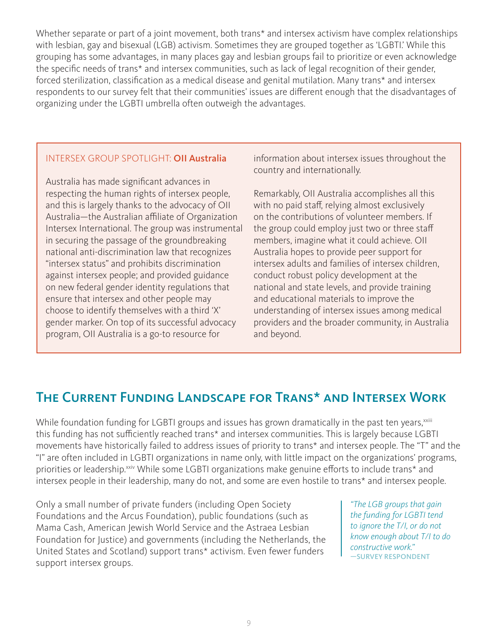Whether separate or part of a joint movement, both trans<sup>\*</sup> and intersex activism have complex relationships with lesbian, gay and bisexual (LGB) activism. Sometimes they are grouped together as 'LGBTI.' While this grouping has some advantages, in many places gay and lesbian groups fail to prioritize or even acknowledge the specific needs of trans\* and intersex communities, such as lack of legal recognition of their gender, forced sterilization, classification as a medical disease and genital mutilation. Many trans\* and intersex respondents to our survey felt that their communities' issues are different enough that the disadvantages of organizing under the LGBTI umbrella often outweigh the advantages.

## INTERSEX GROUP SPOTLIGHT: OII Australia

Australia has made significant advances in respecting the human rights of intersex people, and this is largely thanks to the advocacy of OII Australia—the Australian affiliate of Organization Intersex International. The group was instrumental in securing the passage of the groundbreaking national anti-discrimination law that recognizes "intersex status" and prohibits discrimination against intersex people; and provided guidance on new federal gender identity regulations that ensure that intersex and other people may choose to identify themselves with a third 'X' gender marker. On top of its successful advocacy program, OII Australia is a go-to resource for

information about intersex issues throughout the country and internationally.

Remarkably, OII Australia accomplishes all this with no paid staff, relying almost exclusively on the contributions of volunteer members. If the group could employ just two or three staff members, imagine what it could achieve. OII Australia hopes to provide peer support for intersex adults and families of intersex children, conduct robust policy development at the national and state levels, and provide training and educational materials to improve the understanding of intersex issues among medical providers and the broader community, in Australia and beyond.

## The Current Funding Landscape for Trans\* and Intersex Work

While foundation funding for LGBTI groups and issues has grown dramatically in the past ten years, xxiii this funding has not sufficiently reached trans\* and intersex communities. This is largely because LGBTI movements have historically failed to address issues of priority to trans\* and intersex people. The "T" and the "I" are often included in LGBTI organizations in name only, with little impact on the organizations' programs, priorities or leadership.<sup>xxiv</sup> While some LGBTI organizations make genuine efforts to include trans\* and intersex people in their leadership, many do not, and some are even hostile to trans\* and intersex people.

Only a small number of private funders (including Open Society Foundations and the Arcus Foundation), public foundations (such as Mama Cash, American Jewish World Service and the Astraea Lesbian Foundation for Justice) and governments (including the Netherlands, the United States and Scotland) support trans\* activism. Even fewer funders support intersex groups.

*"The LGB groups that gain the funding for LGBTI tend to ignore the T/I, or do not know enough about T/I to do constructive work."* —SURVEY RESPONDENT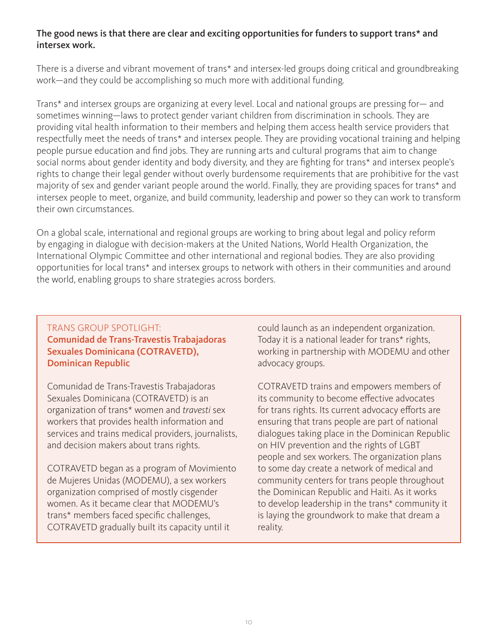## The good news is that there are clear and exciting opportunities for funders to support trans\* and intersex work.

There is a diverse and vibrant movement of trans\* and intersex-led groups doing critical and groundbreaking work—and they could be accomplishing so much more with additional funding.

Trans\* and intersex groups are organizing at every level. Local and national groups are pressing for— and sometimes winning—laws to protect gender variant children from discrimination in schools. They are providing vital health information to their members and helping them access health service providers that respectfully meet the needs of trans\* and intersex people. They are providing vocational training and helping people pursue education and find jobs. They are running arts and cultural programs that aim to change social norms about gender identity and body diversity, and they are fighting for trans\* and intersex people's rights to change their legal gender without overly burdensome requirements that are prohibitive for the vast majority of sex and gender variant people around the world. Finally, they are providing spaces for trans\* and intersex people to meet, organize, and build community, leadership and power so they can work to transform their own circumstances.

On a global scale, international and regional groups are working to bring about legal and policy reform by engaging in dialogue with decision-makers at the United Nations, World Health Organization, the International Olympic Committee and other international and regional bodies. They are also providing opportunities for local trans\* and intersex groups to network with others in their communities and around the world, enabling groups to share strategies across borders.

### TRANS GROUP SPOTLIGHT: Comunidad de Trans-Travestis Trabajadoras Sexuales Dominicana (COTRAVETD), Dominican Republic

Comunidad de Trans-Travestis Trabajadoras Sexuales Dominicana (COTRAVETD) is an organization of trans\* women and *travesti* sex workers that provides health information and services and trains medical providers, journalists, and decision makers about trans rights.

COTRAVETD began as a program of Movimiento de Mujeres Unidas (MODEMU), a sex workers organization comprised of mostly cisgender women. As it became clear that MODEMU's trans\* members faced specific challenges, COTRAVETD gradually built its capacity until it

could launch as an independent organization. Today it is a national leader for trans\* rights, working in partnership with MODEMU and other advocacy groups.

COTRAVETD trains and empowers members of its community to become effective advocates for trans rights. Its current advocacy efforts are ensuring that trans people are part of national dialogues taking place in the Dominican Republic on HIV prevention and the rights of LGBT people and sex workers. The organization plans to some day create a network of medical and community centers for trans people throughout the Dominican Republic and Haiti. As it works to develop leadership in the trans\* community it is laying the groundwork to make that dream a reality.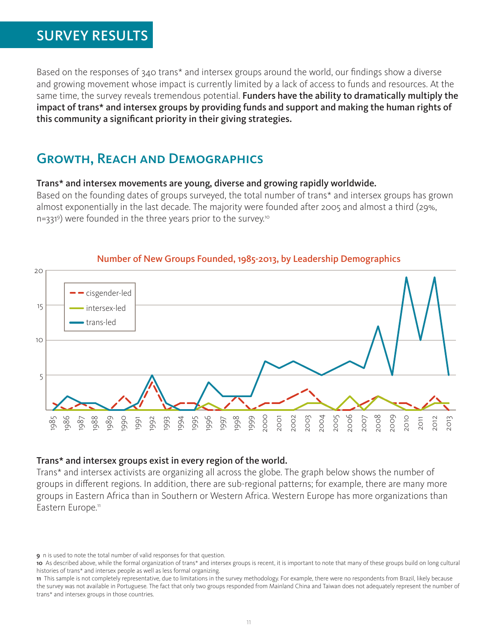## SURVEY RESULTS

Based on the responses of 340 trans\* and intersex groups around the world, our findings show a diverse and growing movement whose impact is currently limited by a lack of access to funds and resources. At the same time, the survey reveals tremendous potential. Funders have the ability to dramatically multiply the impact of trans\* and intersex groups by providing funds and support and making the human rights of this community a significant priority in their giving strategies.

## Growth, Reach and Demographics

#### Trans\* and intersex movements are young, diverse and growing rapidly worldwide.

Based on the founding dates of groups surveyed, the total number of trans\* and intersex groups has grown almost exponentially in the last decade. The majority were founded after 2005 and almost a third (29%, n=331<sup>9</sup>) were founded in the three years prior to the survey.<sup>10</sup>



### Number of New Groups Founded, 1985-2013, by Leadership Demographics

#### Trans\* and intersex groups exist in every region of the world.

Trans\* and intersex activists are organizing all across the globe. The graph below shows the number of groups in different regions. In addition, there are sub-regional patterns; for example, there are many more groups in Eastern Africa than in Southern or Western Africa. Western Europe has more organizations than Eastern Europe.<sup>11</sup>

<sup>9</sup> n is used to note the total number of valid responses for that question.

<sup>10</sup> As described above, while the formal organization of trans\* and intersex groups is recent, it is important to note that many of these groups build on long cultural histories of trans\* and intersex people as well as less formal organizing.

<sup>11</sup> This sample is not completely representative, due to limitations in the survey methodology. For example, there were no respondents from Brazil, likely because the survey was not available in Portuguese. The fact that only two groups responded from Mainland China and Taiwan does not adequately represent the number of trans\* and intersex groups in those countries.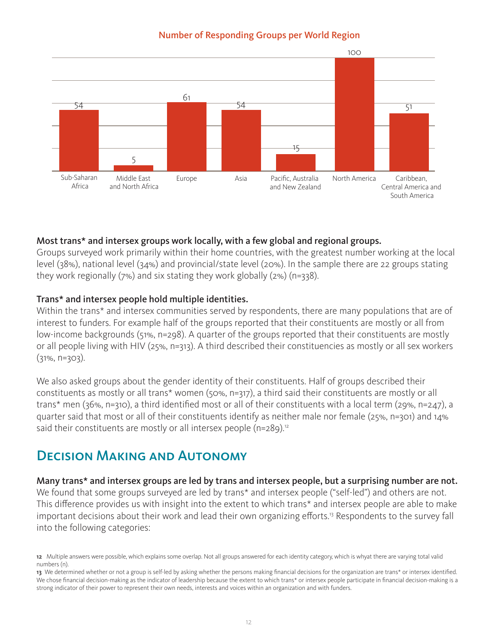### Number of Responding Groups per World Region



## Most trans\* and intersex groups work locally, with a few global and regional groups.

Groups surveyed work primarily within their home countries, with the greatest number working at the local level (38%), national level (34%) and provincial/state level (20%). In the sample there are 22 groups stating they work regionally (7%) and six stating they work globally (2%) (n=338).

## Trans\* and intersex people hold multiple identities.

Within the trans<sup>\*</sup> and intersex communities served by respondents, there are many populations that are of interest to funders. For example half of the groups reported that their constituents are mostly or all from low-income backgrounds (51%, n=298). A quarter of the groups reported that their constituents are mostly or all people living with HIV (25%, n=313). A third described their constituencies as mostly or all sex workers  $(31\%, n=303)$ .

We also asked groups about the gender identity of their constituents. Half of groups described their constituents as mostly or all trans\* women (50%, n=317), a third said their constituents are mostly or all trans\* men (36%, n=310), a third identified most or all of their constituents with a local term (29%, n=247), a quarter said that most or all of their constituents identify as neither male nor female (25%, n=301) and 14% said their constituents are mostly or all intersex people ( $n=289$ ).<sup>12</sup>

## Decision Making and Autonomy

Many trans\* and intersex groups are led by trans and intersex people, but a surprising number are not. We found that some groups surveyed are led by trans<sup>\*</sup> and intersex people ("self-led") and others are not. This difference provides us with insight into the extent to which trans\* and intersex people are able to make important decisions about their work and lead their own organizing efforts.<sup>13</sup> Respondents to the survey fall into the following categories:

<sup>12</sup> Multiple answers were possible, which explains some overlap. Not all groups answered for each identity category, which is whyat there are varying total valid numbers (n).

<sup>13</sup> We determined whether or not a group is self-led by asking whether the persons making financial decisions for the organization are trans\* or intersex identified. We chose financial decision-making as the indicator of leadership because the extent to which trans\* or intersex people participate in financial decision-making is a strong indicator of their power to represent their own needs, interests and voices within an organization and with funders.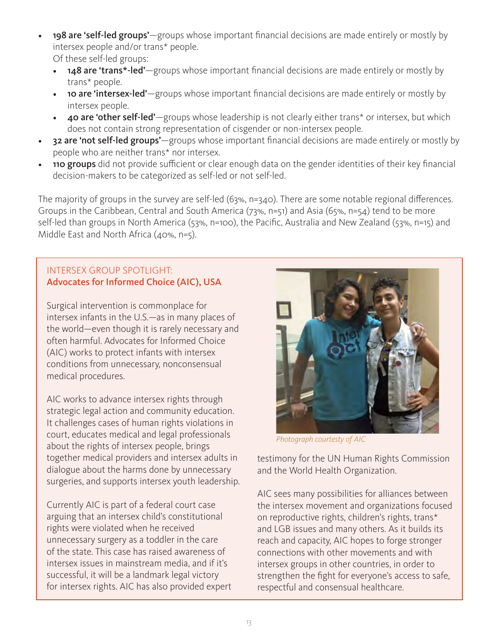- 198 are 'self-led groups'—groups whose important financial decisions are made entirely or mostly by intersex people and/or trans\* people. Of these self-led groups:
	- 148 are 'trans\*-led'—groups whose important financial decisions are made entirely or mostly by trans\* people.
	- 10 are 'intersex-led'—groups whose important financial decisions are made entirely or mostly by intersex people.
	- 40 are 'other self-led'—groups whose leadership is not clearly either trans<sup>\*</sup> or intersex, but which does not contain strong representation of cisgender or non-intersex people.
- 32 are 'not self-led groups'-groups whose important financial decisions are made entirely or mostly by people who are neither trans\* nor intersex.
- 110 groups did not provide sufficient or clear enough data on the gender identities of their key financial decision-makers to be categorized as self-led or not self-led.

The majority of groups in the survey are self-led (63%, n=340). There are some notable regional differences. Groups in the Caribbean, Central and South America (73%, n=51) and Asia (65%, n=54) tend to be more self-led than groups in North America (53%, n=100), the Pacific, Australia and New Zealand (53%, n=15) and Middle East and North Africa (40%, n=5).

## INTERSEX GROUP SPOTLIGHT: Advocates for Informed Choice (AIC), USA

Surgical intervention is commonplace for intersex infants in the U.S.—as in many places of the world—even though it is rarely necessary and often harmful. Advocates for Informed Choice (AIC) works to protect infants with intersex conditions from unnecessary, nonconsensual medical procedures.

AIC works to advance intersex rights through strategic legal action and community education. It challenges cases of human rights violations in court, educates medical and legal professionals about the rights of intersex people, brings together medical providers and intersex adults in dialogue about the harms done by unnecessary surgeries, and supports intersex youth leadership.

Currently AIC is part of a federal court case arguing that an intersex child's constitutional rights were violated when he received unnecessary surgery as a toddler in the care of the state. This case has raised awareness of intersex issues in mainstream media, and if it's successful, it will be a landmark legal victory for intersex rights. AIC has also provided expert



*Photograph courtesty of AIC*

testimony for the UN Human Rights Commission and the World Health Organization.

AIC sees many possibilities for alliances between the intersex movement and organizations focused on reproductive rights, children's rights, trans\* and LGB issues and many others. As it builds its reach and capacity, AIC hopes to forge stronger connections with other movements and with intersex groups in other countries, in order to strengthen the fight for everyone's access to safe, respectful and consensual healthcare.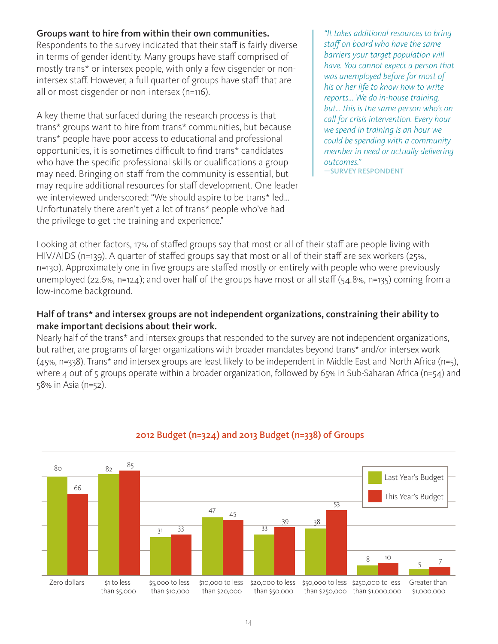## Groups want to hire from within their own communities.

Respondents to the survey indicated that their staff is fairly diverse in terms of gender identity. Many groups have staff comprised of mostly trans\* or intersex people, with only a few cisgender or nonintersex staff. However, a full quarter of groups have staff that are all or most cisgender or non-intersex (n=116).

A key theme that surfaced during the research process is that trans\* groups want to hire from trans\* communities, but because trans\* people have poor access to educational and professional opportunities, it is sometimes difficult to find trans\* candidates who have the specific professional skills or qualifications a group may need. Bringing on staff from the community is essential, but may require additional resources for staff development. One leader we interviewed underscored: "We should aspire to be trans\* led… Unfortunately there aren't yet a lot of trans\* people who've had the privilege to get the training and experience."

*"It takes additional resources to bring staff on board who have the same barriers your target population will have. You cannot expect a person that was unemployed before for most of his or her life to know how to write reports... We do in-house training, but... this is the same person who's on call for crisis intervention. Every hour we spend in training is an hour we could be spending with a community member in need or actually delivering outcomes."*

—SURVEY RESPONDENT

Looking at other factors, 17% of staffed groups say that most or all of their staff are people living with HIV/AIDS (n=139). A quarter of staffed groups say that most or all of their staff are sex workers (25%, n=130). Approximately one in five groups are staffed mostly or entirely with people who were previously unemployed (22.6%, n=124); and over half of the groups have most or all staff (54.8%, n=135) coming from a low-income background.

## Half of trans\* and intersex groups are not independent organizations, constraining their ability to make important decisions about their work.

Nearly half of the trans\* and intersex groups that responded to the survey are not independent organizations, but rather, are programs of larger organizations with broader mandates beyond trans\* and/or intersex work (45%, n=338). Trans\* and intersex groups are least likely to be independent in Middle East and North Africa (n=5), where 4 out of 5 groups operate within a broader organization, followed by 65% in Sub-Saharan Africa (n=54) and 58% in Asia (n=52).



## 2012 Budget (n=324) and 2013 Budget (n=338) of Groups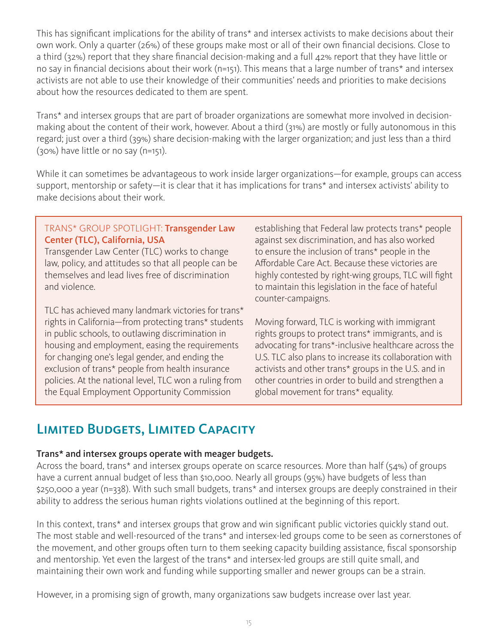This has significant implications for the ability of trans\* and intersex activists to make decisions about their own work. Only a quarter (26%) of these groups make most or all of their own financial decisions. Close to a third (32%) report that they share financial decision-making and a full 42% report that they have little or no say in financial decisions about their work (n=151). This means that a large number of trans\* and intersex activists are not able to use their knowledge of their communities' needs and priorities to make decisions about how the resources dedicated to them are spent.

Trans\* and intersex groups that are part of broader organizations are somewhat more involved in decisionmaking about the content of their work, however. About a third (31%) are mostly or fully autonomous in this regard; just over a third (39%) share decision-making with the larger organization; and just less than a third (30%) have little or no say (n=151).

While it can sometimes be advantageous to work inside larger organizations—for example, groups can access support, mentorship or safety—it is clear that it has implications for trans\* and intersex activists' ability to make decisions about their work.

## TRANS\* GROUP SPOTLIGHT: Transgender Law Center (TLC), California, USA

Transgender Law Center (TLC) works to change law, policy, and attitudes so that all people can be themselves and lead lives free of discrimination and violence.

TLC has achieved many landmark victories for trans\* rights in California—from protecting trans\* students in public schools, to outlawing discrimination in housing and employment, easing the requirements for changing one's legal gender, and ending the exclusion of trans\* people from health insurance policies. At the national level, TLC won a ruling from the Equal Employment Opportunity Commission

establishing that Federal law protects trans\* people against sex discrimination, and has also worked to ensure the inclusion of trans\* people in the Affordable Care Act. Because these victories are highly contested by right-wing groups, TLC will fight to maintain this legislation in the face of hateful counter-campaigns.

Moving forward, TLC is working with immigrant rights groups to protect trans\* immigrants, and is advocating for trans\*-inclusive healthcare across the U.S. TLC also plans to increase its collaboration with activists and other trans\* groups in the U.S. and in other countries in order to build and strengthen a global movement for trans\* equality.

## Limited Budgets, Limited Capacity

## Trans\* and intersex groups operate with meager budgets.

Across the board, trans\* and intersex groups operate on scarce resources. More than half (54%) of groups have a current annual budget of less than \$10,000. Nearly all groups (95%) have budgets of less than \$250,000 a year (n=338). With such small budgets, trans\* and intersex groups are deeply constrained in their ability to address the serious human rights violations outlined at the beginning of this report.

In this context, trans\* and intersex groups that grow and win significant public victories quickly stand out. The most stable and well-resourced of the trans\* and intersex-led groups come to be seen as cornerstones of the movement, and other groups often turn to them seeking capacity building assistance, fiscal sponsorship and mentorship. Yet even the largest of the trans\* and intersex-led groups are still quite small, and maintaining their own work and funding while supporting smaller and newer groups can be a strain.

However, in a promising sign of growth, many organizations saw budgets increase over last year.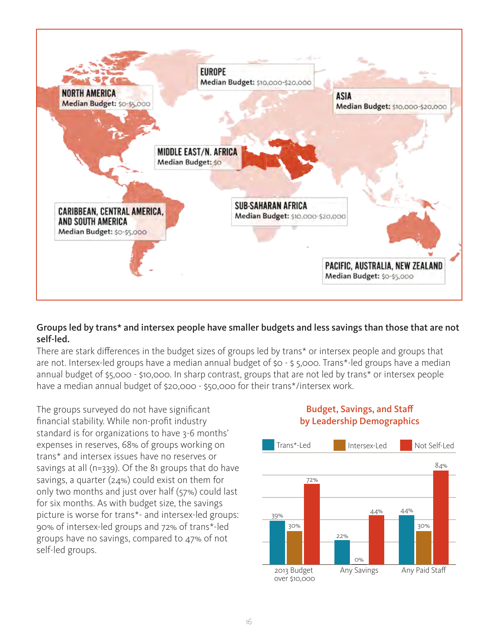

### Groups led by trans\* and intersex people have smaller budgets and less savings than those that are not self-led.

There are stark differences in the budget sizes of groups led by trans\* or intersex people and groups that are not. Intersex-led groups have a median annual budget of \$0 - \$ 5,000. Trans\*-led groups have a median annual budget of \$5,000 - \$10,000. In sharp contrast, groups that are not led by trans\* or intersex people have a median annual budget of \$20,000 - \$50,000 for their trans\*/intersex work.

The groups surveyed do not have significant financial stability. While non-profit industry standard is for organizations to have 3-6 months' expenses in reserves, 68% of groups working on trans\* and intersex issues have no reserves or savings at all (n=339). Of the 81 groups that do have savings, a quarter (24%) could exist on them for only two months and just over half (57%) could last for six months. As with budget size, the savings picture is worse for trans\*- and intersex-led groups: 90% of intersex-led groups and 72% of trans\*-led groups have no savings, compared to 47% of not self-led groups.

## Budget, Savings, and Staff by Leadership Demographics

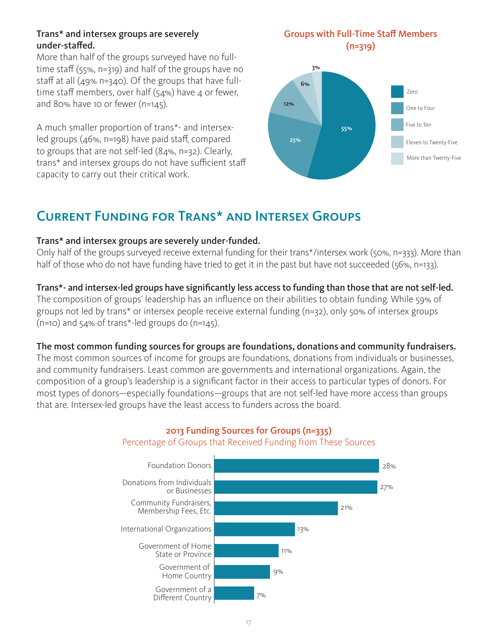### Trans\* and intersex groups are severely under-staffed.

More than half of the groups surveyed have no fulltime staff (55%, n=319) and half of the groups have no staff at all (49% n=340). Of the groups that have fulltime staff members, over half ( $54\%$ ) have 4 or fewer, and 80% have 10 or fewer (n=145).

A much smaller proportion of trans\*- and intersexled groups (46%, n=198) have paid staff, compared to groups that are not self-led (84%, n=32). Clearly, trans\* and intersex groups do not have sufficient staff capacity to carry out their critical work.

### Groups with Full-Time Staff Members (n=319)



## Current Funding for Trans\* and Intersex Groups

## Trans\* and intersex groups are severely under-funded.

Only half of the groups surveyed receive external funding for their trans\*/intersex work (50%, n=333). More than half of those who do not have funding have tried to get it in the past but have not succeeded (56%, n=133).

## Trans\*- and intersex-led groups have significantly less access to funding than those that are not self-led.

The composition of groups' leadership has an influence on their abilities to obtain funding. While 59% of groups not led by trans\* or intersex people receive external funding (n=32), only 50% of intersex groups  $(n=10)$  and 54% of trans\*-led groups do  $(n=145)$ .

The most common funding sources for groups are foundations, donations and community fundraisers.

The most common sources of income for groups are foundations, donations from individuals or businesses, and community fundraisers. Least common are governments and international organizations. Again, the composition of a group's leadership is a significant factor in their access to particular types of donors. For most types of donors—especially foundations—groups that are not self-led have more access than groups that are. Intersex-led groups have the least access to funders across the board.



## 2013 Funding Sources for Groups (n=335) Percentage of Groups that Received Funding from These Sources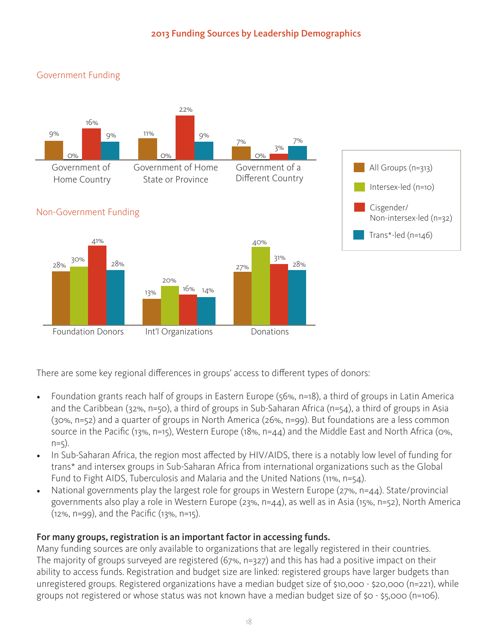## 2013 Funding Sources by Leadership Demographics



There are some key regional differences in groups' access to different types of donors:

- Foundation grants reach half of groups in Eastern Europe (56%, n=18), a third of groups in Latin America and the Caribbean (32%, n=50), a third of groups in Sub-Saharan Africa (n=54), a third of groups in Asia (30%, n=52) and a quarter of groups in North America (26%, n=99). But foundations are a less common source in the Pacific (13%, n=15), Western Europe (18%, n=44) and the Middle East and North Africa (0%,  $n=5$ ).
- In Sub-Saharan Africa, the region most affected by HIV/AIDS, there is a notably low level of funding for trans\* and intersex groups in Sub-Saharan Africa from international organizations such as the Global Fund to Fight AIDS, Tuberculosis and Malaria and the United Nations (11%, n=54).
- National governments play the largest role for groups in Western Europe (27%, n=44). State/provincial governments also play a role in Western Europe (23%, n=44), as well as in Asia (15%, n=52), North America (12%, n=99), and the Pacific (13%, n=15).

## For many groups, registration is an important factor in accessing funds.

Many funding sources are only available to organizations that are legally registered in their countries. The majority of groups surveyed are registered (67%, n=327) and this has had a positive impact on their ability to access funds. Registration and budget size are linked: registered groups have larger budgets than unregistered groups. Registered organizations have a median budget size of \$10,000 - \$20,000 (n=221), while groups not registered or whose status was not known have a median budget size of \$0 - \$5,000 (n=106).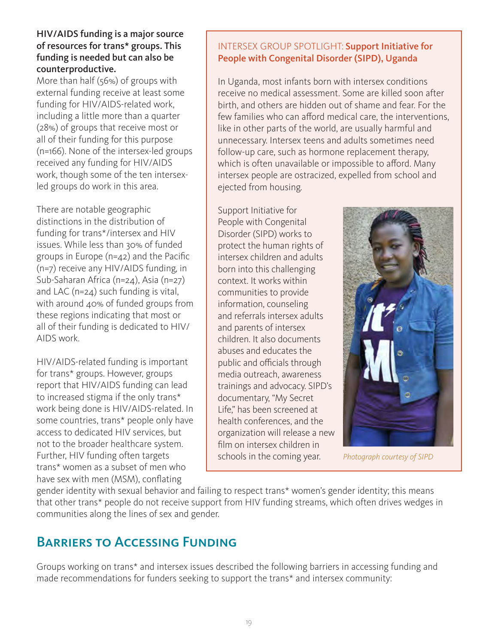### HIV/AIDS funding is a major source of resources for trans\* groups. This funding is needed but can also be counterproductive.

More than half (56%) of groups with external funding receive at least some funding for HIV/AIDS-related work, including a little more than a quarter (28%) of groups that receive most or all of their funding for this purpose (n=166). None of the intersex-led groups received any funding for HIV/AIDS work, though some of the ten intersexled groups do work in this area.

There are notable geographic distinctions in the distribution of funding for trans\*/intersex and HIV issues. While less than 30% of funded groups in Europe (n=42) and the Pacific (n=7) receive any HIV/AIDS funding, in Sub-Saharan Africa (n=24), Asia (n=27) and LAC (n=24) such funding is vital, with around 40% of funded groups from these regions indicating that most or all of their funding is dedicated to HIV/ AIDS work.

HIV/AIDS-related funding is important for trans\* groups. However, groups report that HIV/AIDS funding can lead to increased stigma if the only trans\* work being done is HIV/AIDS-related. In some countries, trans\* people only have access to dedicated HIV services, but not to the broader healthcare system. Further, HIV funding often targets trans\* women as a subset of men who have sex with men (MSM), conflating

## INTERSEX GROUP SPOTLIGHT: Support Initiative for People with Congenital Disorder (SIPD), Uganda

In Uganda, most infants born with intersex conditions receive no medical assessment. Some are killed soon after birth, and others are hidden out of shame and fear. For the few families who can afford medical care, the interventions, like in other parts of the world, are usually harmful and unnecessary. Intersex teens and adults sometimes need follow-up care, such as hormone replacement therapy, which is often unavailable or impossible to afford. Many intersex people are ostracized, expelled from school and ejected from housing.

Support Initiative for People with Congenital Disorder (SIPD) works to protect the human rights of intersex children and adults born into this challenging context. It works within communities to provide information, counseling and referrals intersex adults and parents of intersex children. It also documents abuses and educates the public and officials through media outreach, awareness trainings and advocacy. SIPD's documentary, "My Secret Life," has been screened at health conferences, and the organization will release a new film on intersex children in schools in the coming year. *Photograph courtesy of SIPD*



gender identity with sexual behavior and failing to respect trans\* women's gender identity; this means that other trans\* people do not receive support from HIV funding streams, which often drives wedges in communities along the lines of sex and gender.

## Barriers to Accessing Funding

Groups working on trans\* and intersex issues described the following barriers in accessing funding and made recommendations for funders seeking to support the trans\* and intersex community: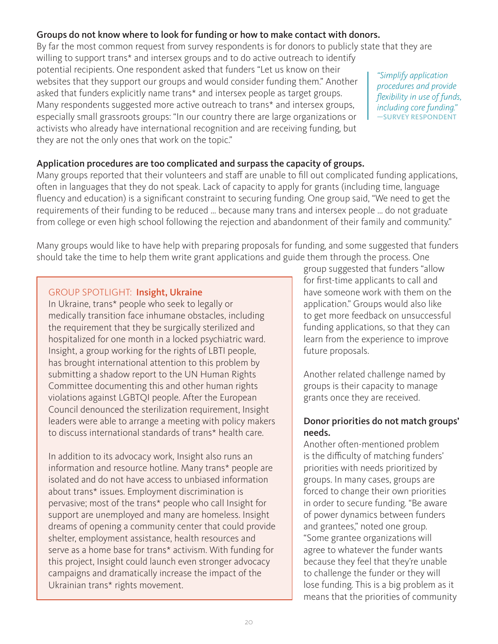## Groups do not know where to look for funding or how to make contact with donors.

By far the most common request from survey respondents is for donors to publicly state that they are willing to support trans\* and intersex groups and to do active outreach to identify potential recipients. One respondent asked that funders "Let us know on their websites that they support our groups and would consider funding them." Another asked that funders explicitly name trans\* and intersex people as target groups. Many respondents suggested more active outreach to trans\* and intersex groups, especially small grassroots groups: "In our country there are large organizations or activists who already have international recognition and are receiving funding, but they are not the only ones that work on the topic." *"Simplify application procedures and provide flexibility in use of funds, including core funding."* —SURVEY RESPONDENT

## Application procedures are too complicated and surpass the capacity of groups.

Many groups reported that their volunteers and staff are unable to fill out complicated funding applications, often in languages that they do not speak. Lack of capacity to apply for grants (including time, language fluency and education) is a significant constraint to securing funding. One group said, "We need to get the requirements of their funding to be reduced … because many trans and intersex people … do not graduate from college or even high school following the rejection and abandonment of their family and community."

Many groups would like to have help with preparing proposals for funding, and some suggested that funders should take the time to help them write grant applications and guide them through the process. One

## GROUP SPOTLIGHT: Insight, Ukraine

In Ukraine, trans\* people who seek to legally or medically transition face inhumane obstacles, including the requirement that they be surgically sterilized and hospitalized for one month in a locked psychiatric ward. Insight, a group working for the rights of LBTI people, has brought international attention to this problem by submitting a shadow report to the UN Human Rights Committee documenting this and other human rights violations against LGBTQI people. After the European Council denounced the sterilization requirement, Insight leaders were able to arrange a meeting with policy makers to discuss international standards of trans\* health care.

In addition to its advocacy work, Insight also runs an information and resource hotline. Many trans\* people are isolated and do not have access to unbiased information about trans\* issues. Employment discrimination is pervasive; most of the trans\* people who call Insight for support are unemployed and many are homeless. Insight dreams of opening a community center that could provide shelter, employment assistance, health resources and serve as a home base for trans\* activism. With funding for this project, Insight could launch even stronger advocacy campaigns and dramatically increase the impact of the Ukrainian trans\* rights movement.

group suggested that funders "allow for first-time applicants to call and have someone work with them on the application." Groups would also like to get more feedback on unsuccessful funding applications, so that they can learn from the experience to improve future proposals.

Another related challenge named by groups is their capacity to manage grants once they are received.

## Donor priorities do not match groups' needs.

Another often-mentioned problem is the difficulty of matching funders' priorities with needs prioritized by groups. In many cases, groups are forced to change their own priorities in order to secure funding. "Be aware of power dynamics between funders and grantees," noted one group. "Some grantee organizations will agree to whatever the funder wants because they feel that they're unable to challenge the funder or they will lose funding. This is a big problem as it means that the priorities of community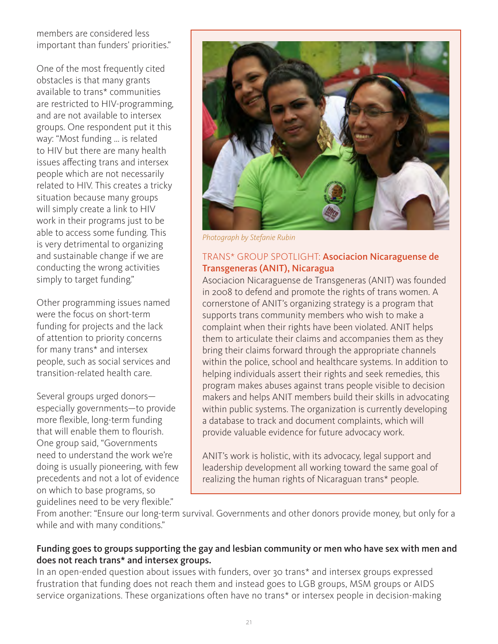members are considered less important than funders' priorities."

One of the most frequently cited obstacles is that many grants available to trans\* communities are restricted to HIV-programming, and are not available to intersex groups. One respondent put it this way: "Most funding ... is related to HIV but there are many health issues affecting trans and intersex people which are not necessarily related to HIV. This creates a tricky situation because many groups will simply create a link to HIV work in their programs just to be able to access some funding. This is very detrimental to organizing and sustainable change if we are conducting the wrong activities simply to target funding."

Other programming issues named were the focus on short-term funding for projects and the lack of attention to priority concerns for many trans\* and intersex people, such as social services and transition-related health care.

Several groups urged donors especially governments—to provide more flexible, long-term funding that will enable them to flourish. One group said, "Governments need to understand the work we're doing is usually pioneering, with few precedents and not a lot of evidence on which to base programs, so guidelines need to be very flexible."



*Photograph by Stefanie Rubin*

## TRANS\* GROUP SPOTLIGHT: Asociacion Nicaraguense de Transgeneras (ANIT), Nicaragua

Asociacion Nicaraguense de Transgeneras (ANIT) was founded in 2008 to defend and promote the rights of trans women. A cornerstone of ANIT's organizing strategy is a program that supports trans community members who wish to make a complaint when their rights have been violated. ANIT helps them to articulate their claims and accompanies them as they bring their claims forward through the appropriate channels within the police, school and healthcare systems. In addition to helping individuals assert their rights and seek remedies, this program makes abuses against trans people visible to decision makers and helps ANIT members build their skills in advocating within public systems. The organization is currently developing a database to track and document complaints, which will provide valuable evidence for future advocacy work.

ANIT's work is holistic, with its advocacy, legal support and leadership development all working toward the same goal of realizing the human rights of Nicaraguan trans\* people.

From another: "Ensure our long-term survival. Governments and other donors provide money, but only for a while and with many conditions."

## Funding goes to groups supporting the gay and lesbian community or men who have sex with men and does not reach trans\* and intersex groups.

In an open-ended question about issues with funders, over 30 trans\* and intersex groups expressed frustration that funding does not reach them and instead goes to LGB groups, MSM groups or AIDS service organizations. These organizations often have no trans<sup>\*</sup> or intersex people in decision-making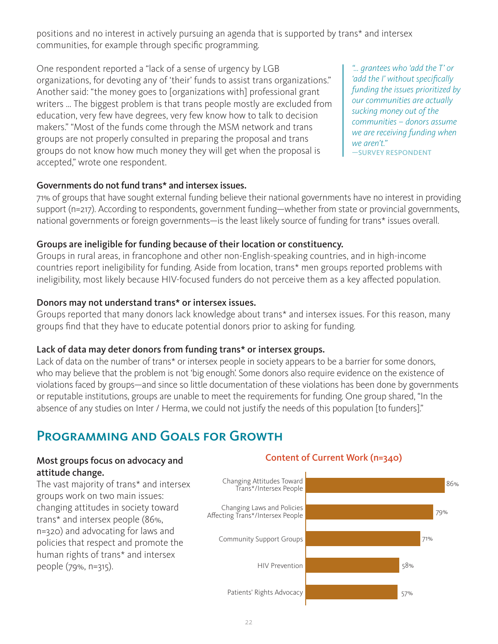positions and no interest in actively pursuing an agenda that is supported by trans\* and intersex communities, for example through specific programming.

One respondent reported a "lack of a sense of urgency by LGB organizations, for devoting any of 'their' funds to assist trans organizations." Another said: "the money goes to [organizations with] professional grant writers … The biggest problem is that trans people mostly are excluded from education, very few have degrees, very few know how to talk to decision makers." "Most of the funds come through the MSM network and trans groups are not properly consulted in preparing the proposal and trans groups do not know how much money they will get when the proposal is accepted," wrote one respondent.

*"… grantees who 'add the T' or 'add the I' without specifically funding the issues prioritized by our communities are actually sucking money out of the communities – donors assume we are receiving funding when we aren't."* —SURVEY RESPONDENT

### Governments do not fund trans\* and intersex issues.

71% of groups that have sought external funding believe their national governments have no interest in providing support (n=217). According to respondents, government funding—whether from state or provincial governments, national governments or foreign governments—is the least likely source of funding for trans\* issues overall.

## Groups are ineligible for funding because of their location or constituency.

Groups in rural areas, in francophone and other non-English-speaking countries, and in high-income countries report ineligibility for funding. Aside from location, trans\* men groups reported problems with ineligibility, most likely because HIV-focused funders do not perceive them as a key affected population.

## Donors may not understand trans\* or intersex issues.

Groups reported that many donors lack knowledge about trans\* and intersex issues. For this reason, many groups find that they have to educate potential donors prior to asking for funding.

### Lack of data may deter donors from funding trans\* or intersex groups.

Lack of data on the number of trans<sup>\*</sup> or intersex people in society appears to be a barrier for some donors, who may believe that the problem is not 'big enough'. Some donors also require evidence on the existence of violations faced by groups—and since so little documentation of these violations has been done by governments or reputable institutions, groups are unable to meet the requirements for funding. One group shared, "In the absence of any studies on Inter / Herma, we could not justify the needs of this population [to funders]."

## Programming and Goals for Growth

## Most groups focus on advocacy and attitude change.

The vast majority of trans\* and intersex groups work on two main issues: changing attitudes in society toward trans\* and intersex people (86%, n=320) and advocating for laws and policies that respect and promote the human rights of trans\* and intersex people (79%, n=315).

## Content of Current Work (n=340)

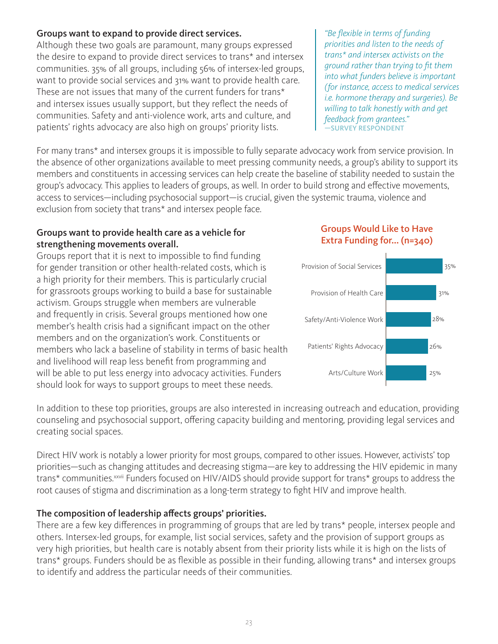## Groups want to expand to provide direct services.

Although these two goals are paramount, many groups expressed the desire to expand to provide direct services to trans\* and intersex communities. 35% of all groups, including 56% of intersex-led groups, want to provide social services and 31% want to provide health care. These are not issues that many of the current funders for trans\* and intersex issues usually support, but they reflect the needs of communities. Safety and anti-violence work, arts and culture, and patients' rights advocacy are also high on groups' priority lists.

For many trans\* and intersex groups it is impossible to fully separate advocacy work from service provision. In the absence of other organizations available to meet pressing community needs, a group's ability to support its members and constituents in accessing services can help create the baseline of stability needed to sustain the group's advocacy. This applies to leaders of groups, as well. In order to build strong and effective movements, access to services—including psychosocial support—is crucial, given the systemic trauma, violence and exclusion from society that trans\* and intersex people face.

## Groups want to provide health care as a vehicle for strengthening movements overall.

Groups report that it is next to impossible to find funding for gender transition or other health-related costs, which is a high priority for their members. This is particularly crucial for grassroots groups working to build a base for sustainable activism. Groups struggle when members are vulnerable and frequently in crisis. Several groups mentioned how one member's health crisis had a significant impact on the other members and on the organization's work. Constituents or members who lack a baseline of stability in terms of basic health and livelihood will reap less benefit from programming and will be able to put less energy into advocacy activities. Funders should look for ways to support groups to meet these needs.

In addition to these top priorities, groups are also interested in increasing outreach and education, providing counseling and psychosocial support, offering capacity building and mentoring, providing legal services and creating social spaces.

Direct HIV work is notably a lower priority for most groups, compared to other issues. However, activists' top priorities—such as changing attitudes and decreasing stigma—are key to addressing the HIV epidemic in many trans\* communities.<sup>xxvii</sup> Funders focused on HIV/AIDS should provide support for trans\* groups to address the root causes of stigma and discrimination as a long-term strategy to fight HIV and improve health.

## The composition of leadership affects groups' priorities.

There are a few key differences in programming of groups that are led by trans\* people, intersex people and others. Intersex-led groups, for example, list social services, safety and the provision of support groups as very high priorities, but health care is notably absent from their priority lists while it is high on the lists of trans\* groups. Funders should be as flexible as possible in their funding, allowing trans\* and intersex groups to identify and address the particular needs of their communities.

*"Be flexible in terms of funding priorities and listen to the needs of trans\* and intersex activists on the ground rather than trying to fit them into what funders believe is important (for instance, access to medical services i.e. hormone therapy and surgeries). Be willing to talk honestly with and get feedback from grantees."* —SURVEY RESPONDENT

## Groups Would Like to Have Extra Funding for... (n=340)

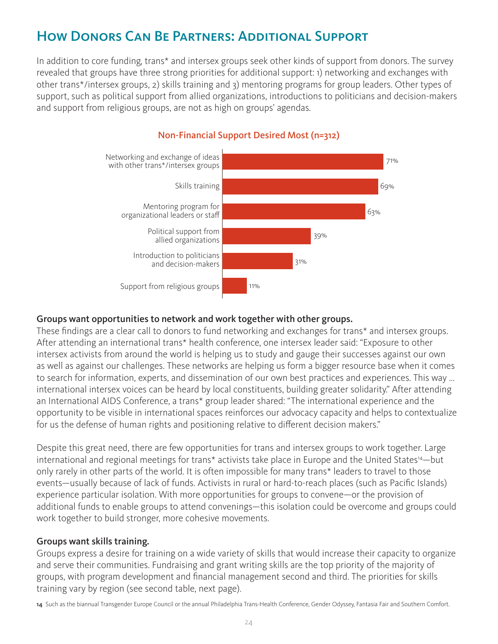## How Donors Can Be Partners: Additional Support

In addition to core funding, trans\* and intersex groups seek other kinds of support from donors. The survey revealed that groups have three strong priorities for additional support: 1) networking and exchanges with other trans\*/intersex groups, 2) skills training and 3) mentoring programs for group leaders. Other types of support, such as political support from allied organizations, introductions to politicians and decision-makers and support from religious groups, are not as high on groups' agendas.



## Non-Financial Support Desired Most (n=312)

#### Groups want opportunities to network and work together with other groups.

These findings are a clear call to donors to fund networking and exchanges for trans\* and intersex groups. After attending an international trans\* health conference, one intersex leader said: "Exposure to other intersex activists from around the world is helping us to study and gauge their successes against our own as well as against our challenges. These networks are helping us form a bigger resource base when it comes to search for information, experts, and dissemination of our own best practices and experiences. This way … international intersex voices can be heard by local constituents, building greater solidarity." After attending an International AIDS Conference, a trans\* group leader shared: "The international experience and the opportunity to be visible in international spaces reinforces our advocacy capacity and helps to contextualize for us the defense of human rights and positioning relative to different decision makers."

Despite this great need, there are few opportunities for trans and intersex groups to work together. Large international and regional meetings for trans\* activists take place in Europe and the United States<sup>14</sup>—but only rarely in other parts of the world. It is often impossible for many trans\* leaders to travel to those events—usually because of lack of funds. Activists in rural or hard-to-reach places (such as Pacific Islands) experience particular isolation. With more opportunities for groups to convene—or the provision of additional funds to enable groups to attend convenings—this isolation could be overcome and groups could work together to build stronger, more cohesive movements.

### Groups want skills training.

Groups express a desire for training on a wide variety of skills that would increase their capacity to organize and serve their communities. Fundraising and grant writing skills are the top priority of the majority of groups, with program development and financial management second and third. The priorities for skills training vary by region (see second table, next page).

14 Such as the biannual Transgender Europe Council or the annual Philadelphia Trans-Health Conference, Gender Odyssey, Fantasia Fair and Southern Comfort.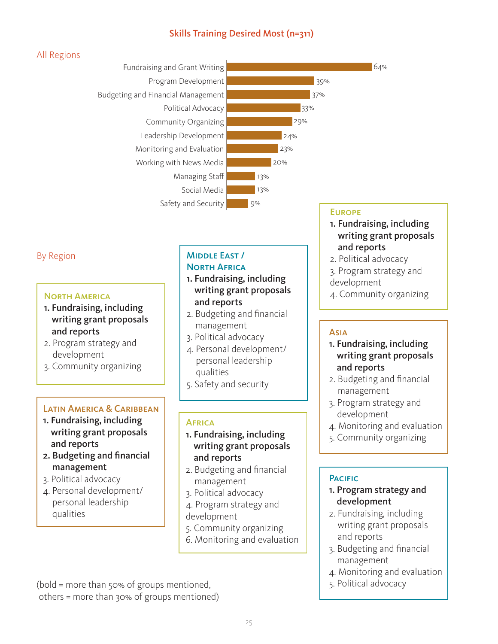## Skills Training Desired Most (n=311)

## All Regions



## By Region

#### North America

- 1. Fundraising, including writing grant proposals and reports
- 2. Program strategy and development
- 3. Community organizing

## Latin America & Caribbean

- 1. Fundraising, including writing grant proposals and reports
- 2. Budgeting and financial management
- 3. Political advocacy
- 4. Personal development/ personal leadership qualities

#### Middle East / **NORTH AFRICA**

- 1. Fundraising, including writing grant proposals and reports
- 2. Budgeting and financial management
- 3. Political advocacy
- 4. Personal development/ personal leadership qualities
- 5. Safety and security

### **AFRICA**

- 1. Fundraising, including writing grant proposals and reports
- 2. Budgeting and financial management
- 3. Political advocacy
- 4. Program strategy and development
- 5. Community organizing
- 6. Monitoring and evaluation

## (bold = more than 50% of groups mentioned, others = more than 30% of groups mentioned)

#### **EUROPE**

- 1. Fundraising, including writing grant proposals and reports
- 2. Political advocacy
- 3. Program strategy and development
- 4. Community organizing

### Asia

- 1. Fundraising, including writing grant proposals and reports
- 2. Budgeting and financial management
- 3. Program strategy and development
- 4. Monitoring and evaluation
- 5. Community organizing

## **PACIFIC**

- 1. Program strategy and development
- 2. Fundraising, including writing grant proposals and reports
- 3. Budgeting and financial management
- 4. Monitoring and evaluation
- 5. Political advocacy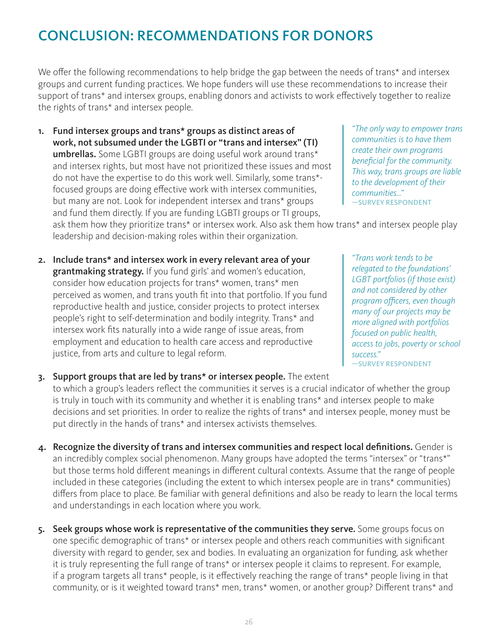## CONCLUSION: RECOMMENDATIONS FOR DONORS

We offer the following recommendations to help bridge the gap between the needs of trans\* and intersex groups and current funding practices. We hope funders will use these recommendations to increase their support of trans\* and intersex groups, enabling donors and activists to work effectively together to realize the rights of trans\* and intersex people.

1. Fund intersex groups and trans\* groups as distinct areas of work, not subsumed under the LGBTI or "trans and intersex" (TI) umbrellas. Some LGBTI groups are doing useful work around trans\* and intersex rights, but most have not prioritized these issues and most do not have the expertise to do this work well. Similarly, some trans\* focused groups are doing effective work with intersex communities, but many are not. Look for independent intersex and trans\* groups and fund them directly. If you are funding LGBTI groups or TI groups,

ask them how they prioritize trans\* or intersex work. Also ask them how trans\* and intersex people play leadership and decision-making roles within their organization.

2. Include trans\* and intersex work in every relevant area of your grantmaking strategy. If you fund girls' and women's education, consider how education projects for trans\* women, trans\* men perceived as women, and trans youth fit into that portfolio. If you fund reproductive health and justice, consider projects to protect intersex people's right to self-determination and bodily integrity. Trans\* and intersex work fits naturally into a wide range of issue areas, from employment and education to health care access and reproductive justice, from arts and culture to legal reform.

*create their own programs beneficial for the community. This way, trans groups are liable to the development of their communities…"* —SURVEY RESPONDENT

*"The only way to empower trans communities is to have them* 

*"Trans work tends to be relegated to the foundations' LGBT portfolios (if those exist) and not considered by other program officers, even though many of our projects may be more aligned with portfolios focused on public health, access to jobs, poverty or school success."* —SURVEY RESPONDENT

- 3. Support groups that are led by trans\* or intersex people. The extent to which a group's leaders reflect the communities it serves is a crucial indicator of whether the group is truly in touch with its community and whether it is enabling trans\* and intersex people to make decisions and set priorities. In order to realize the rights of trans\* and intersex people, money must be put directly in the hands of trans\* and intersex activists themselves.
- 4. Recognize the diversity of trans and intersex communities and respect local definitions. Gender is an incredibly complex social phenomenon. Many groups have adopted the terms "intersex" or "trans\*" but those terms hold different meanings in different cultural contexts. Assume that the range of people included in these categories (including the extent to which intersex people are in trans\* communities) differs from place to place. Be familiar with general definitions and also be ready to learn the local terms and understandings in each location where you work.
- 5. Seek groups whose work is representative of the communities they serve. Some groups focus on one specific demographic of trans\* or intersex people and others reach communities with significant diversity with regard to gender, sex and bodies. In evaluating an organization for funding, ask whether it is truly representing the full range of trans\* or intersex people it claims to represent. For example, if a program targets all trans\* people, is it effectively reaching the range of trans\* people living in that community, or is it weighted toward trans\* men, trans\* women, or another group? Different trans\* and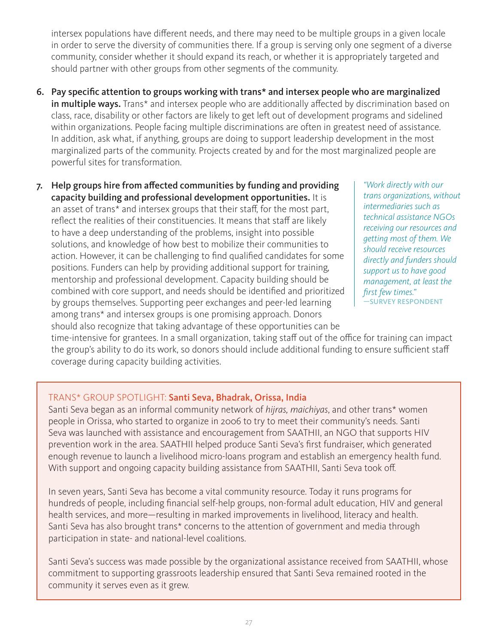intersex populations have different needs, and there may need to be multiple groups in a given locale in order to serve the diversity of communities there. If a group is serving only one segment of a diverse community, consider whether it should expand its reach, or whether it is appropriately targeted and should partner with other groups from other segments of the community.

6. Pay specific attention to groups working with trans\* and intersex people who are marginalized in multiple ways. Trans\* and intersex people who are additionally affected by discrimination based on class, race, disability or other factors are likely to get left out of development programs and sidelined within organizations. People facing multiple discriminations are often in greatest need of assistance. In addition, ask what, if anything, groups are doing to support leadership development in the most marginalized parts of the community. Projects created by and for the most marginalized people are powerful sites for transformation.

7. Help groups hire from affected communities by funding and providing capacity building and professional development opportunities. It is an asset of trans\* and intersex groups that their staff, for the most part, reflect the realities of their constituencies. It means that staff are likely to have a deep understanding of the problems, insight into possible solutions, and knowledge of how best to mobilize their communities to action. However, it can be challenging to find qualified candidates for some positions. Funders can help by providing additional support for training, mentorship and professional development. Capacity building should be combined with core support, and needs should be identified and prioritized by groups themselves. Supporting peer exchanges and peer-led learning among trans\* and intersex groups is one promising approach. Donors should also recognize that taking advantage of these opportunities can be

*"Work directly with our trans organizations, without intermediaries such as technical assistance NGOs receiving our resources and getting most of them. We should receive resources directly and funders should support us to have good management, at least the first few times."* —SURVEY RESPONDENT

time-intensive for grantees. In a small organization, taking staff out of the office for training can impact the group's ability to do its work, so donors should include additional funding to ensure sufficient staff coverage during capacity building activities.

## TRANS\* GROUP SPOTLIGHT: Santi Seva, Bhadrak, Orissa, India

Santi Seva began as an informal community network of *hijras, maichiyas*, and other trans\* women people in Orissa, who started to organize in 2006 to try to meet their community's needs. Santi Seva was launched with assistance and encouragement from SAATHII, an NGO that supports HIV prevention work in the area. SAATHII helped produce Santi Seva's first fundraiser, which generated enough revenue to launch a livelihood micro-loans program and establish an emergency health fund. With support and ongoing capacity building assistance from SAATHII, Santi Seva took off.

In seven years, Santi Seva has become a vital community resource. Today it runs programs for hundreds of people, including financial self-help groups, non-formal adult education, HIV and general health services, and more—resulting in marked improvements in livelihood, literacy and health. Santi Seva has also brought trans\* concerns to the attention of government and media through participation in state- and national-level coalitions.

Santi Seva's success was made possible by the organizational assistance received from SAATHII, whose commitment to supporting grassroots leadership ensured that Santi Seva remained rooted in the community it serves even as it grew.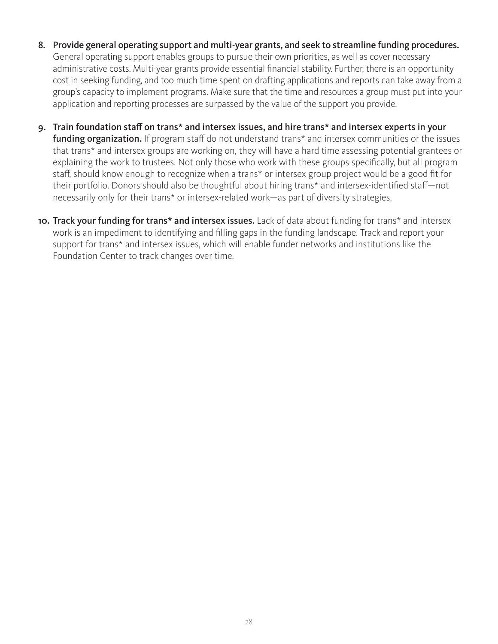- 8. Provide general operating support and multi-year grants, and seek to streamline funding procedures. General operating support enables groups to pursue their own priorities, as well as cover necessary administrative costs. Multi-year grants provide essential financial stability. Further, there is an opportunity cost in seeking funding, and too much time spent on drafting applications and reports can take away from a group's capacity to implement programs. Make sure that the time and resources a group must put into your application and reporting processes are surpassed by the value of the support you provide.
- 9. Train foundation staff on trans\* and intersex issues, and hire trans\* and intersex experts in your funding organization. If program staff do not understand trans<sup>\*</sup> and intersex communities or the issues that trans\* and intersex groups are working on, they will have a hard time assessing potential grantees or explaining the work to trustees. Not only those who work with these groups specifically, but all program staff, should know enough to recognize when a trans\* or intersex group project would be a good fit for their portfolio. Donors should also be thoughtful about hiring trans\* and intersex-identified staff—not necessarily only for their trans\* or intersex-related work—as part of diversity strategies.
- 10. Track your funding for trans<sup>\*</sup> and intersex issues. Lack of data about funding for trans<sup>\*</sup> and intersex work is an impediment to identifying and filling gaps in the funding landscape. Track and report your support for trans\* and intersex issues, which will enable funder networks and institutions like the Foundation Center to track changes over time.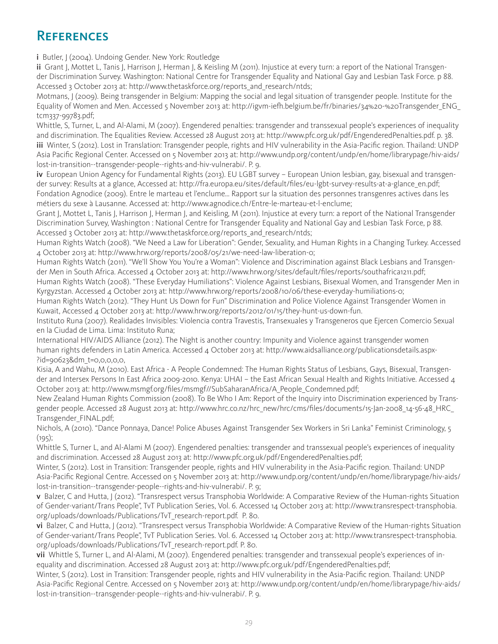## **REFERENCES**

i Butler, J (2004). Undoing Gender. New York: Routledge

ii Grant J, Mottet L, Tanis J, Harrison J, Herman J, & Keisling M (2011). Injustice at every turn: a report of the National Transgender Discrimination Survey. Washington: National Centre for Transgender Equality and National Gay and Lesbian Task Force. p 88. Accessed 3 October 2013 at: http://www.thetaskforce.org/reports\_and\_research/ntds;

Motmans, J (2009). Being transgender in Belgium: Mapping the social and legal situation of transgender people. Institute for the Equality of Women and Men. Accessed 5 November 2013 at: http://igvm-iefh.belgium.be/fr/binaries/34%20-%20Transgender\_ENG\_ tcm337-99783.pdf;

Whittle, S, Turner, L, and Al-Alami, M (2007). Engendered penalties: transgender and transsexual people's experiences of inequality and discrimination. The Equalities Review. Accessed 28 August 2013 at: http://www.pfc.org.uk/pdf/EngenderedPenalties.pdf. p. 38. iii Winter, S (2012). Lost in Translation: Transgender people, rights and HIV vulnerability in the Asia-Pacific region. Thailand: UNDP Asia Pacific Regional Center. Accessed on 5 November 2013 at: http://www.undp.org/content/undp/en/home/librarypage/hiv-aids/ lost-in-transition--transgender-people--rights-and-hiv-vulnerabi/. P. 9.

iv European Union Agency for Fundamental Rights (2013). EU LGBT survey - European Union lesbian, gay, bisexual and transgender survey: Results at a glance, Accessed at: http://fra.europa.eu/sites/default/files/eu-lgbt-survey-results-at-a-glance\_en.pdf; Fondation Agnodice (2009). Entre le marteau et l'enclume... Rapport sur la situation des personnes transgenres actives dans les métiers du sexe à Lausanne. Accessed at: http://www.agnodice.ch/Entre-le-marteau-et-l-enclume;

Grant J, Mottet L, Tanis J, Harrison J, Herman J, and Keisling, M (2011). Injustice at every turn: a report of the National Transgender Discrimination Survey, Washington : National Centre for Transgender Equality and National Gay and Lesbian Task Force, p 88. Accessed 3 October 2013 at: http://www.thetaskforce.org/reports\_and\_research/ntds;

Human Rights Watch (2008). "We Need a Law for Liberation": Gender, Sexuality, and Human Rights in a Changing Turkey. Accessed 4 October 2013 at: http://www.hrw.org/reports/2008/05/21/we-need-law-liberation-0;

Human Rights Watch (2011). "We'll Show You You're a Woman": Violence and Discrimination against Black Lesbians and Transgender Men in South Africa. Accessed 4 October 2013 at: http://www.hrw.org/sites/default/files/reports/southafrica1211.pdf;

Human Rights Watch (2008). "These Everyday Humiliations": Violence Against Lesbians, Bisexual Women, and Transgender Men in Kyrgyzstan. Accessed 4 October 2013 at: http://www.hrw.org/reports/2008/10/06/these-everyday-humiliations-0;

Human Rights Watch (2012). "They Hunt Us Down for Fun" Discrimination and Police Violence Against Transgender Women in Kuwait, Accessed 4 October 2013 at: http://www.hrw.org/reports/2012/01/15/they-hunt-us-down-fun.

Instituto Runa (2007). Realidades Invisibles: Violencia contra Travestis, Transexuales y Transgeneros que Ejercen Comercio Sexual en la Ciudad de Lima. Lima: Instituto Runa;

International HIV/AIDS Alliance (2012). The Night is another country: Impunity and Violence against transgender women human rights defenders in Latin America. Accessed 4 October 2013 at: http://www.aidsalliance.org/publicationsdetails.aspx- ?id=90623&dm\_t=0,0,0,0,0,

Kisia, A and Wahu, M (2010). East Africa - A People Condemned: The Human Rights Status of Lesbians, Gays, Bisexual, Transgender and Intersex Persons In East Africa 2009-2010. Kenya: UHAI – the East African Sexual Health and Rights Initiative. Accessed 4 October 2013 at: http://www.msmgf.org/files/msmgf//SubSaharanAfrica/A\_People\_Condemned.pdf;

New Zealand Human Rights Commission (2008). To Be Who I Am: Report of the Inquiry into Discrimination experienced by Transgender people. Accessed 28 August 2013 at: http://www.hrc.co.nz/hrc\_new/hrc/cms/files/documents/15-Jan-2008\_14-56-48\_HRC\_ Transgender\_FINAL.pdf;

Nichols, A (2010). "Dance Ponnaya, Dance! Police Abuses Against Transgender Sex Workers in Sri Lanka" Feminist Criminology, 5  $(195)$ ;

Whittle S, Turner L, and Al-Alami M (2007). Engendered penalties: transgender and transsexual people's experiences of inequality and discrimination. Accessed 28 August 2013 at: http://www.pfc.org.uk/pdf/EngenderedPenalties.pdf;

Winter, S (2012). Lost in Transition: Transgender people, rights and HIV vulnerability in the Asia-Pacific region. Thailand: UNDP Asia-Pacific Regional Centre. Accessed on 5 November 2013 at: http://www.undp.org/content/undp/en/home/librarypage/hiv-aids/ lost-in-transition--transgender-people--rights-and-hiv-vulnerabi/. P. 9;

v Balzer, C and Hutta, J (2012). "Transrespect versus Transphobia Worldwide: A Comparative Review of the Human-rights Situation of Gender-variant/Trans People", TvT Publication Series, Vol. 6. Accessed 14 October 2013 at: http://www.transrespect-transphobia. org/uploads/downloads/Publications/TvT\_research-report.pdf. P. 80.

vi Balzer, C and Hutta,  $\frac{1}{2012}$ . "Transrespect versus Transphobia Worldwide: A Comparative Review of the Human-rights Situation of Gender-variant/Trans People", TvT Publication Series. Vol. 6. Accessed 14 October 2013 at: http://www.transrespect-transphobia. org/uploads/downloads/Publications/TvT\_research-report.pdf. P. 80.

vii Whittle S, Turner L, and Al-Alami, M (2007). Engendered penalties: transgender and transsexual people's experiences of inequality and discrimination. Accessed 28 August 2013 at: http://www.pfc.org.uk/pdf/EngenderedPenalties.pdf;

Winter, S (2012). Lost in Transition: Transgender people, rights and HIV vulnerability in the Asia-Pacific region. Thailand: UNDP Asia-Pacific Regional Centre. Accessed on 5 November 2013 at: http://www.undp.org/content/undp/en/home/librarypage/hiv-aids/ lost-in-transition--transgender-people--rights-and-hiv-vulnerabi/. P. 9.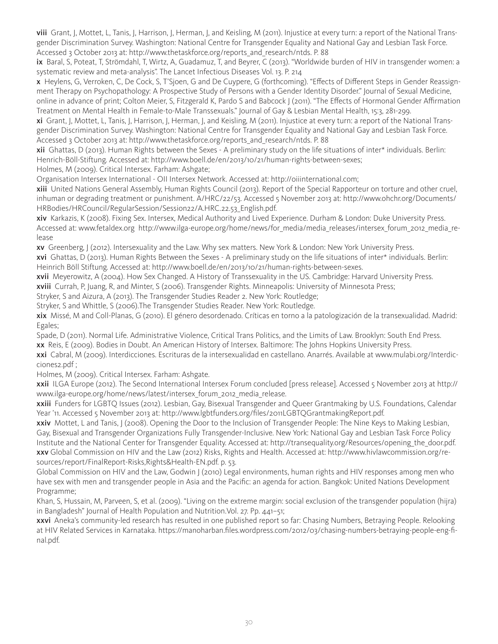viii Grant, J, Mottet, L, Tanis, J, Harrison, J, Herman, J, and Keisling, M (2011). Injustice at every turn: a report of the National Transgender Discrimination Survey. Washington: National Centre for Transgender Equality and National Gay and Lesbian Task Force. Accessed 3 October 2013 at: http://www.thetaskforce.org/reports\_and\_research/ntds. P. 88

ix Baral, S, Poteat, T, Strömdahl, T, Wirtz, A, Guadamuz, T, and Beyrer, C (2013). "Worldwide burden of HIV in transgender women: a systematic review and meta-analysis". The Lancet Infectious Diseases Vol. 13. P. 214

x Heylens, G, Verroken, C, De Cock, S, T'Sjoen, G and De Cuypere, G (forthcoming). "Effects of Different Steps in Gender Reassignment Therapy on Psychopathology: A Prospective Study of Persons with a Gender Identity Disorder." Journal of Sexual Medicine, online in advance of print; Colton Meier, S, Fitzgerald K, Pardo S and Babcock J (2011). "The Effects of Hormonal Gender Affirmation Treatment on Mental Health in Female-to-Male Transsexuals." Journal of Gay & Lesbian Mental Health, 15:3, 281-299.

xi Grant, J, Mottet, L, Tanis, J, Harrison, J, Herman, J, and Keisling, M (2011). Injustice at every turn: a report of the National Transgender Discrimination Survey. Washington: National Centre for Transgender Equality and National Gay and Lesbian Task Force. Accessed 3 October 2013 at: http://www.thetaskforce.org/reports\_and\_research/ntds. P. 88

xii Ghattas, D (2013). Human Rights between the Sexes - A preliminary study on the life situations of inter\* individuals. Berlin: Henrich-Böll-Stiftung. Accessed at: http://www.boell.de/en/2013/10/21/human-rights-between-sexes;

Holmes, M (2009). Critical Intersex. Farham: Ashgate;

Organisation Intersex International - OII Intersex Network. Accessed at: http://oiiinternational.com;

xiii United Nations General Assembly, Human Rights Council (2013). Report of the Special Rapporteur on torture and other cruel, inhuman or degrading treatment or punishment. A/HRC/22/53. Accessed 5 November 2013 at: http://www.ohchr.org/Documents/ HRBodies/HRCouncil/RegularSession/Session22/A.HRC.22.53\_English.pdf.

xiv Karkazis, K (2008). Fixing Sex. Intersex, Medical Authority and Lived Experience. Durham & London: Duke University Press. Accessed at: www.fetaldex.org http://www.ilga-europe.org/home/news/for\_media/media\_releases/intersex\_forum\_2012\_media\_release

xv Greenberg, J (2012). Intersexuality and the Law. Why sex matters. New York & London: New York University Press.

xvi Ghattas, D (2013). Human Rights Between the Sexes - A preliminary study on the life situations of inter\* individuals. Berlin: Heinrich Böll Stiftung. Accessed at: http://www.boell.de/en/2013/10/21/human-rights-between-sexes.

xvii Meyerowitz, A (2004). How Sex Changed. A History of Transsexuality in the US. Cambridge: Harvard University Press.

xviii Currah, P, Juang, R, and Minter, S (2006). Transgender Rights. Minneapolis: University of Minnesota Press;

Stryker, S and Aizura, A (2013). The Transgender Studies Reader 2. New York: Routledge;

Stryker, S and Whittle, S (2006).The Transgender Studies Reader. New York: Routledge.

xix Missé, M and Coll-Planas, G (2010). El género desordenado. Críticas en torno a la patologización de la transexualidad. Madrid: Egales;

Spade, D (2011). Normal Life. Administrative Violence, Critical Trans Politics, and the Limits of Law. Brooklyn: South End Press. xx Reis, E (2009). Bodies in Doubt. An American History of Intersex. Baltimore: The Johns Hopkins University Press.

xxi Cabral, M (2009). Interdicciones. Escrituras de la intersexualidad en castellano. Anarrés. Available at www.mulabi.org/Interdicciones2.pdf ;

Holmes, M (2009). Critical Intersex. Farham: Ashgate.

xxii ILGA Europe (2012). The Second International Intersex Forum concluded [press release]. Accessed 5 November 2013 at http:// www.ilga-europe.org/home/news/latest/intersex\_forum\_2012\_media\_release.

xxiii Funders for LGBTQ Issues (2012). Lesbian, Gay, Bisexual Transgender and Queer Grantmaking by U.S. Foundations, Calendar Year '11. Accessed 5 November 2013 at: http://www.lgbtfunders.org/files/2011LGBTQGrantmakingReport.pdf.

xxiv Mottet, L and Tanis, J (2008). Opening the Door to the Inclusion of Transgender People: The Nine Keys to Making Lesbian, Gay, Bisexual and Transgender Organizations Fully Transgender-Inclusive. New York: National Gay and Lesbian Task Force Policy Institute and the National Center for Transgender Equality. Accessed at: http://transequality.org/Resources/opening\_the\_door.pdf. xxv Global Commission on HIV and the Law (2012) Risks, Rights and Health. Accessed at: http://www.hivlawcommission.org/resources/report/FinalReport-Risks,Rights&Health-EN.pdf. p. 53.

Global Commission on HIV and the Law, Godwin J (2010) Legal environments, human rights and HIV responses among men who have sex with men and transgender people in Asia and the Pacific: an agenda for action. Bangkok: United Nations Development Programme;

Khan, S, Hussain, M, Parveen, S, et al. (2009). "Living on the extreme margin: social exclusion of the transgender population (hijra) in Bangladesh" Journal of Health Population and Nutrition. Vol. 27. Pp. 441-51;

**xxvi** Aneka's community-led research has resulted in one published report so far: Chasing Numbers, Betraying People. Relooking at HIV Related Services in Karnataka. https://manoharban.files.wordpress.com/2012/03/chasing-numbers-betraying-people-eng-final.pdf.